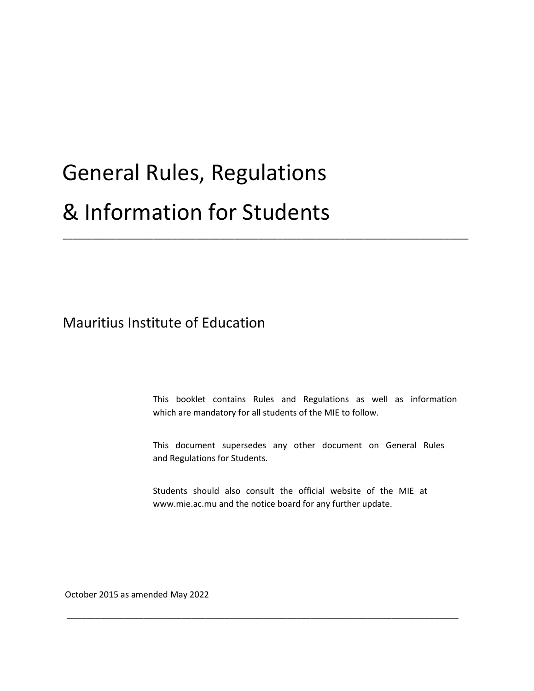# General Rules, Regulations & Information for Students

Mauritius Institute of Education

This booklet contains Rules and Regulations as well as information which are mandatory for all students of the MIE to follow.

\_\_\_\_\_\_\_\_\_\_\_\_\_\_\_\_\_\_\_\_\_\_\_\_\_\_\_\_\_\_\_\_\_\_\_\_\_\_\_\_\_\_\_\_\_\_\_\_\_\_\_\_\_\_\_\_\_\_\_\_\_\_\_\_\_\_\_\_\_\_\_\_\_\_\_\_\_\_\_\_\_\_\_\_\_

This document supersedes any other document on General Rules and Regulations for Students.

Students should also consult the official website of the MIE at www.mie.ac.mu and the notice board for any further update.

\_\_\_\_\_\_\_\_\_\_\_\_\_\_\_\_\_\_\_\_\_\_\_\_\_\_\_\_\_\_\_\_\_\_\_\_\_\_\_\_\_\_\_\_\_\_\_\_\_\_\_\_\_\_\_\_\_\_\_\_\_\_\_\_\_\_\_\_\_\_\_\_\_\_\_\_\_\_\_\_\_\_

October 2015 as amended May 2022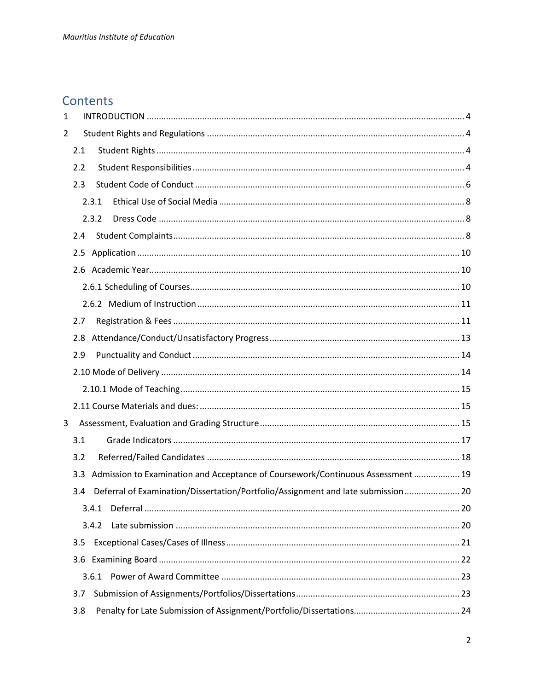# **Contents**

| 1              |     |       |                                                                                  |  |
|----------------|-----|-------|----------------------------------------------------------------------------------|--|
| $\overline{2}$ |     |       |                                                                                  |  |
|                | 2.1 |       |                                                                                  |  |
|                | 2.2 |       |                                                                                  |  |
|                | 2.3 |       |                                                                                  |  |
|                |     | 2.3.1 |                                                                                  |  |
|                |     | 2.3.2 |                                                                                  |  |
|                | 2.4 |       |                                                                                  |  |
|                |     |       |                                                                                  |  |
|                |     |       |                                                                                  |  |
|                |     |       |                                                                                  |  |
|                |     |       |                                                                                  |  |
|                | 2.7 |       |                                                                                  |  |
|                | 2.8 |       |                                                                                  |  |
|                | 2.9 |       |                                                                                  |  |
|                |     |       |                                                                                  |  |
|                |     |       |                                                                                  |  |
|                |     |       |                                                                                  |  |
| 3              |     |       |                                                                                  |  |
|                | 3.1 |       |                                                                                  |  |
|                | 3.2 |       |                                                                                  |  |
|                | 3.3 |       | Admission to Examination and Acceptance of Coursework/Continuous Assessment  19  |  |
|                | 3.4 |       | Deferral of Examination/Dissertation/Portfolio/Assignment and late submission 20 |  |
|                |     | 3.4.1 |                                                                                  |  |
|                |     | 3.4.2 |                                                                                  |  |
|                | 3.5 |       |                                                                                  |  |
|                | 3.6 |       |                                                                                  |  |
|                |     | 3.6.1 |                                                                                  |  |
|                | 3.7 |       |                                                                                  |  |
|                | 3.8 |       |                                                                                  |  |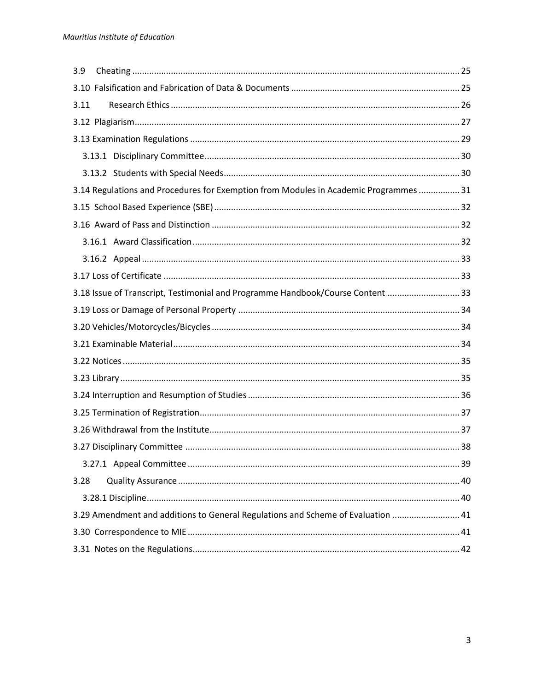| 3.9                                                                                   |  |
|---------------------------------------------------------------------------------------|--|
|                                                                                       |  |
| 3.11                                                                                  |  |
|                                                                                       |  |
|                                                                                       |  |
|                                                                                       |  |
|                                                                                       |  |
| 3.14 Regulations and Procedures for Exemption from Modules in Academic Programmes  31 |  |
|                                                                                       |  |
|                                                                                       |  |
|                                                                                       |  |
|                                                                                       |  |
|                                                                                       |  |
| 3.18 Issue of Transcript, Testimonial and Programme Handbook/Course Content  33       |  |
|                                                                                       |  |
|                                                                                       |  |
|                                                                                       |  |
|                                                                                       |  |
|                                                                                       |  |
|                                                                                       |  |
|                                                                                       |  |
|                                                                                       |  |
|                                                                                       |  |
|                                                                                       |  |
| 3.28                                                                                  |  |
|                                                                                       |  |
| 3.29 Amendment and additions to General Regulations and Scheme of Evaluation  41      |  |
|                                                                                       |  |
|                                                                                       |  |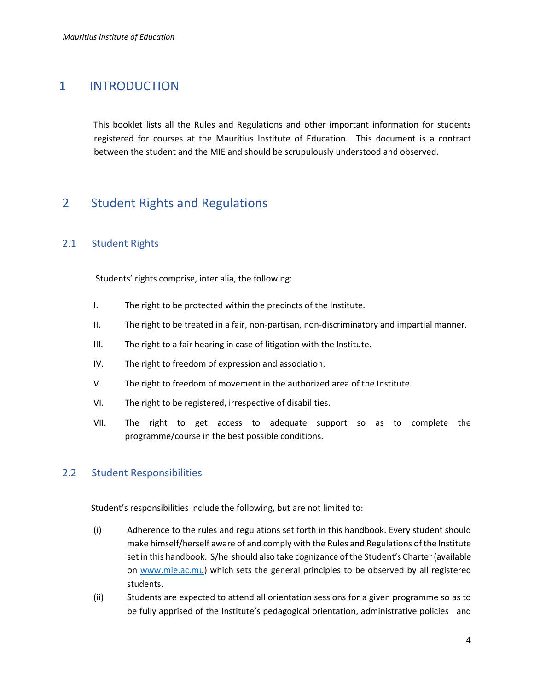# <span id="page-3-0"></span>1 INTRODUCTION

This booklet lists all the Rules and Regulations and other important information for students registered for courses at the Mauritius Institute of Education. This document is a contract between the student and the MIE and should be scrupulously understood and observed.

# <span id="page-3-1"></span>2 Student Rights and Regulations

#### <span id="page-3-2"></span>2.1 Student Rights

Students' rights comprise, inter alia, the following:

- I. The right to be protected within the precincts of the Institute.
- II. The right to be treated in a fair, non-partisan, non-discriminatory and impartial manner.
- III. The right to a fair hearing in case of litigation with the Institute.
- IV. The right to freedom of expression and association.
- V. The right to freedom of movement in the authorized area of the Institute.
- VI. The right to be registered, irrespective of disabilities.
- VII. The right to get access to adequate support so as to complete the programme/course in the best possible conditions.

#### <span id="page-3-3"></span>2.2 Student Responsibilities

Student's responsibilities include the following, but are not limited to:

- (i) Adherence to the rules and regulations set forth in this handbook. Every student should make himself/herself aware of and comply with the Rules and Regulations of the Institute set in this handbook. S/he should also take cognizance of the Student's Charter (available on [www.mie.ac.mu\)](http://www.mie.ac.mu/) which sets the general principles to be observed by all registered students.
- (ii) Students are expected to attend all orientation sessions for a given programme so as to be fully apprised of the Institute's pedagogical orientation, administrative policies and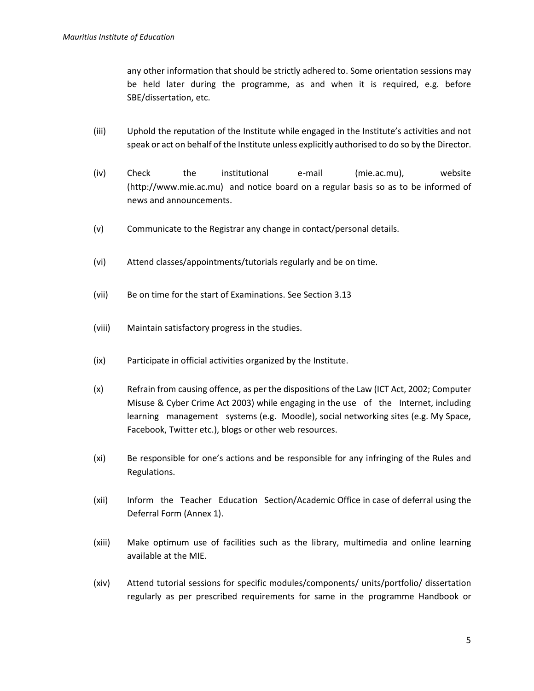any other information that should be strictly adhered to. Some orientation sessions may be held later during the programme, as and when it is required, e.g. before SBE/dissertation, etc.

- (iii) Uphold the reputation of the Institute while engaged in the Institute's activities and not speak or act on behalf of the Institute unless explicitly authorised to do so by the Director.
- (iv) Check the institutional e-mail (mie.ac.mu), website (http://www.mie.ac.mu) and notice board on a regular basis so as to be informed of news and announcements.
- (v) Communicate to the Registrar any change in contact/personal details.
- (vi) Attend classes/appointments/tutorials regularly and be on time.
- (vii) Be on time for the start of Examinations. See Section 3.13
- (viii) Maintain satisfactory progress in the studies.
- (ix) Participate in official activities organized by the Institute.
- (x) Refrain from causing offence, as per the dispositions of the Law (ICT Act, 2002; Computer Misuse & Cyber Crime Act 2003) while engaging in the use of the Internet, including learning management systems (e.g. Moodle), social networking sites (e.g. My Space, Facebook, Twitter etc.), blogs or other web resources.
- (xi) Be responsible for one's actions and be responsible for any infringing of the Rules and Regulations.
- (xii) Inform the Teacher Education Section/Academic Office in case of deferral using the Deferral Form (Annex 1).
- (xiii) Make optimum use of facilities such as the library, multimedia and online learning available at the MIE.
- (xiv) Attend tutorial sessions for specific modules/components/ units/portfolio/ dissertation regularly as per prescribed requirements for same in the programme Handbook or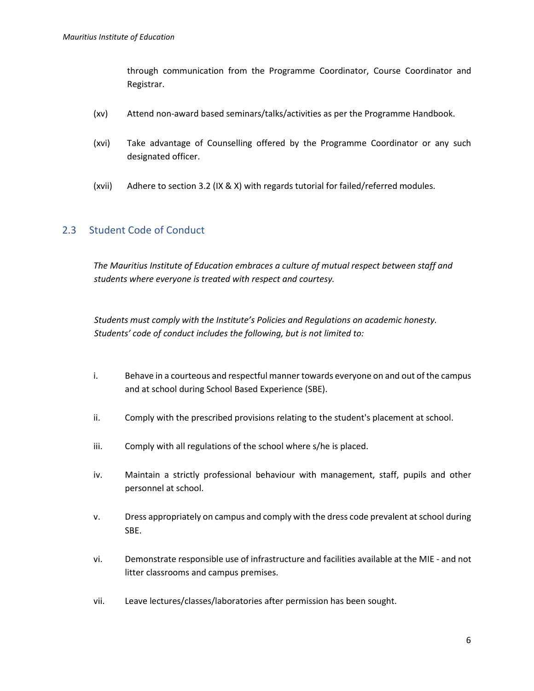through communication from the Programme Coordinator, Course Coordinator and Registrar.

- (xv) Attend non-award based seminars/talks/activities as per the Programme Handbook.
- (xvi) Take advantage of Counselling offered by the Programme Coordinator or any such designated officer.
- (xvii) Adhere to section 3.2 (IX & X) with regards tutorial for failed/referred modules.

#### <span id="page-5-0"></span>2.3 Student Code of Conduct

*The Mauritius Institute of Education embraces a culture of mutual respect between staff and students where everyone is treated with respect and courtesy.* 

*Students must comply with the Institute's Policies and Regulations on academic honesty. Students' code of conduct includes the following, but is not limited to:* 

- i. Behave in a courteous and respectful manner towards everyone on and out of the campus and at school during School Based Experience (SBE).
- ii. Comply with the prescribed provisions relating to the student's placement at school.
- iii. Comply with all regulations of the school where s/he is placed.
- iv. Maintain a strictly professional behaviour with management, staff, pupils and other personnel at school.
- v. Dress appropriately on campus and comply with the dress code prevalent at school during SBE.
- vi. Demonstrate responsible use of infrastructure and facilities available at the MIE and not litter classrooms and campus premises.
- vii. Leave lectures/classes/laboratories after permission has been sought.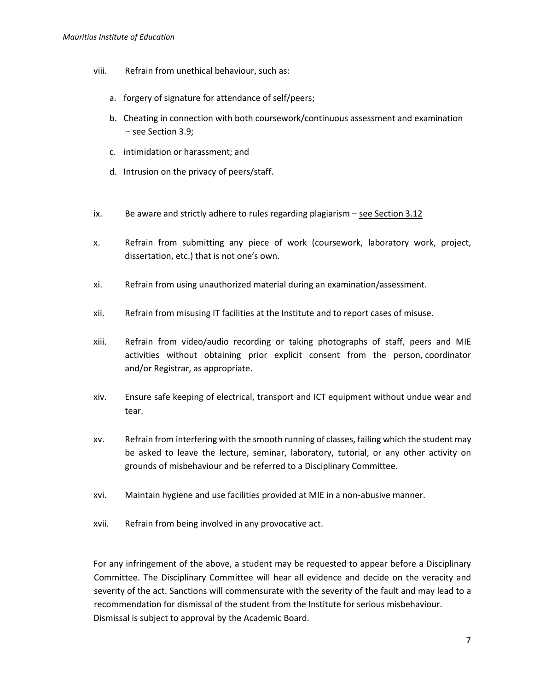#### *Mauritius Institute of Education*

- viii. Refrain from unethical behaviour, such as:
	- a. forgery of signature for attendance of self/peers;
	- b. Cheating in connection with both coursework/continuous assessment and examination – see Section 3.9;
	- c. intimidation or harassment; and
	- d. Intrusion on the privacy of peers/staff.
- ix. Be aware and strictly adhere to rules regarding plagiarism  $-$  see Section 3.12
- x. Refrain from submitting any piece of work (coursework, laboratory work, project, dissertation, etc.) that is not one's own.
- xi. Refrain from using unauthorized material during an examination/assessment.
- xii. Refrain from misusing IT facilities at the Institute and to report cases of misuse.
- xiii. Refrain from video/audio recording or taking photographs of staff, peers and MIE activities without obtaining prior explicit consent from the person, coordinator and/or Registrar, as appropriate.
- xiv. Ensure safe keeping of electrical, transport and ICT equipment without undue wear and tear.
- xv. Refrain from interfering with the smooth running of classes, failing which the student may be asked to leave the lecture, seminar, laboratory, tutorial, or any other activity on grounds of misbehaviour and be referred to a Disciplinary Committee.
- xvi. Maintain hygiene and use facilities provided at MIE in a non-abusive manner.
- xvii. Refrain from being involved in any provocative act.

For any infringement of the above, a student may be requested to appear before a Disciplinary Committee. The Disciplinary Committee will hear all evidence and decide on the veracity and severity of the act. Sanctions will commensurate with the severity of the fault and may lead to a recommendation for dismissal of the student from the Institute for serious misbehaviour. Dismissal is subject to approval by the Academic Board.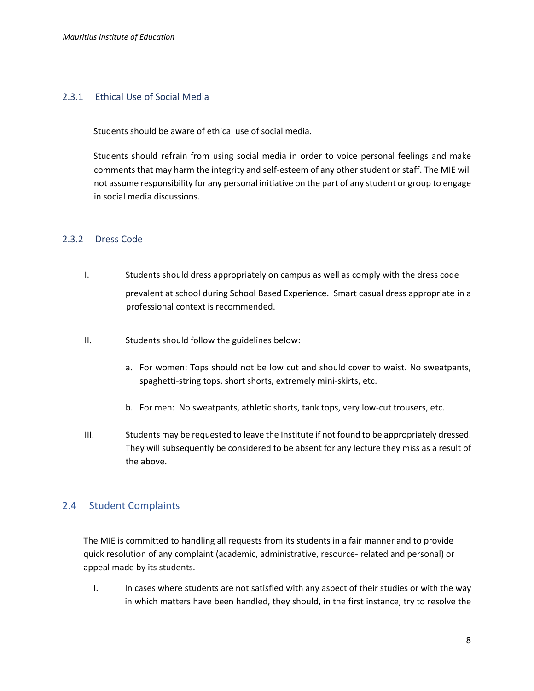#### <span id="page-7-0"></span>2.3.1 Ethical Use of Social Media

Students should be aware of ethical use of social media.

Students should refrain from using social media in order to voice personal feelings and make comments that may harm the integrity and self-esteem of any other student or staff. The MIE will not assume responsibility for any personal initiative on the part of any student or group to engage in social media discussions.

#### <span id="page-7-1"></span>2.3.2 Dress Code

- I. Students should dress appropriately on campus as well as comply with the dress code prevalent at school during School Based Experience. Smart casual dress appropriate in a professional context is recommended.
- II. Students should follow the guidelines below:
	- a. For women: Tops should not be low cut and should cover to waist. No sweatpants, spaghetti‐string tops, short shorts, extremely mini-skirts, etc.
	- b. For men: No sweatpants, athletic shorts, tank tops, very low-cut trousers, etc.
- III. Students may be requested to leave the Institute if not found to be appropriately dressed. They will subsequently be considered to be absent for any lecture they miss as a result of the above.

#### <span id="page-7-2"></span>2.4 Student Complaints

The MIE is committed to handling all requests from its students in a fair manner and to provide quick resolution of any complaint (academic, administrative, resource- related and personal) or appeal made by its students.

I. In cases where students are not satisfied with any aspect of their studies or with the way in which matters have been handled, they should, in the first instance, try to resolve the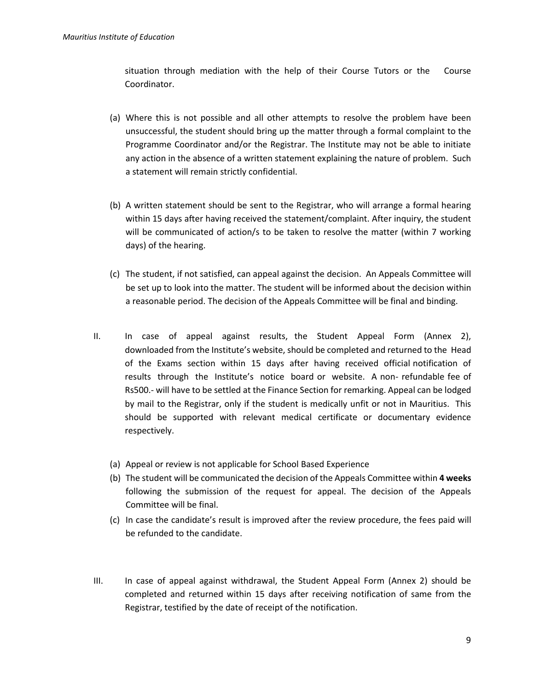situation through mediation with the help of their Course Tutors or the Course Coordinator.

- (a) Where this is not possible and all other attempts to resolve the problem have been unsuccessful, the student should bring up the matter through a formal complaint to the Programme Coordinator and/or the Registrar. The Institute may not be able to initiate any action in the absence of a written statement explaining the nature of problem. Such a statement will remain strictly confidential.
- (b) A written statement should be sent to the Registrar, who will arrange a formal hearing within 15 days after having received the statement/complaint. After inquiry, the student will be communicated of action/s to be taken to resolve the matter (within 7 working days) of the hearing.
- (c) The student, if not satisfied, can appeal against the decision. An Appeals Committee will be set up to look into the matter. The student will be informed about the decision within a reasonable period. The decision of the Appeals Committee will be final and binding.
- II. In case of appeal against results, the Student Appeal Form (Annex 2), downloaded from the Institute's website, should be completed and returned to the Head of the Exams section within 15 days after having received official notification of results through the Institute's notice board or website. A non- refundable fee of Rs500.- will have to be settled at the Finance Section for remarking. Appeal can be lodged by mail to the Registrar, only if the student is medically unfit or not in Mauritius. This should be supported with relevant medical certificate or documentary evidence respectively.
	- (a) Appeal or review is not applicable for School Based Experience
	- (b) The student will be communicated the decision of the Appeals Committee within **4 weeks** following the submission of the request for appeal. The decision of the Appeals Committee will be final.
	- (c) In case the candidate's result is improved after the review procedure, the fees paid will be refunded to the candidate.
- III. In case of appeal against withdrawal, the Student Appeal Form (Annex 2) should be completed and returned within 15 days after receiving notification of same from the Registrar, testified by the date of receipt of the notification.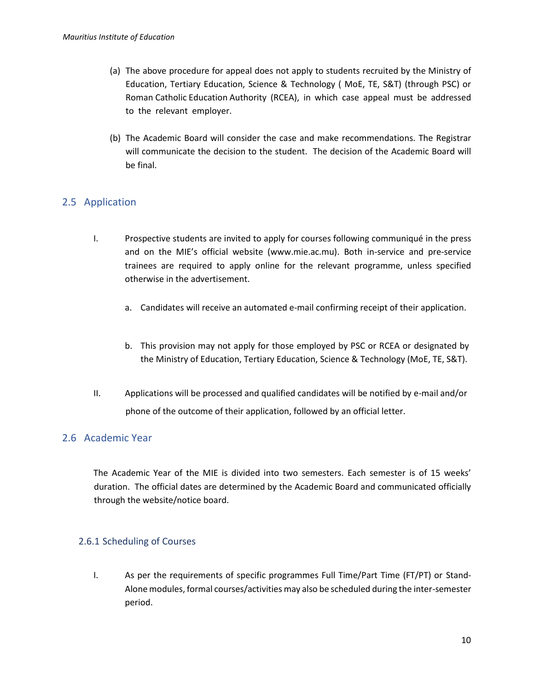- (a) The above procedure for appeal does not apply to students recruited by the Ministry of Education, Tertiary Education, Science & Technology ( MoE, TE, S&T) (through PSC) or Roman Catholic Education Authority (RCEA), in which case appeal must be addressed to the relevant employer.
- (b) The Academic Board will consider the case and make recommendations. The Registrar will communicate the decision to the student. The decision of the Academic Board will be final.

#### <span id="page-9-0"></span>2.5 Application

- I. Prospective students are invited to apply for courses following communiqué in the press and on the MIE's official website (www.mie.ac.mu). Both in-service and pre-service trainees are required to apply online for the relevant programme, unless specified otherwise in the advertisement.
	- a. Candidates will receive an automated e-mail confirming receipt of their application.
	- b. This provision may not apply for those employed by PSC or RCEA or designated by the Ministry of Education, Tertiary Education, Science & Technology (MoE, TE, S&T).
- II. Applications will be processed and qualified candidates will be notified by e-mail and/or phone of the outcome of their application, followed by an official letter.

#### <span id="page-9-1"></span>2.6 Academic Year

The Academic Year of the MIE is divided into two semesters. Each semester is of 15 weeks' duration. The official dates are determined by the Academic Board and communicated officially through the website/notice board.

#### <span id="page-9-2"></span>2.6.1 Scheduling of Courses

I. As per the requirements of specific programmes Full Time/Part Time (FT/PT) or Stand-Alone modules, formal courses/activities may also be scheduled during the inter-semester period.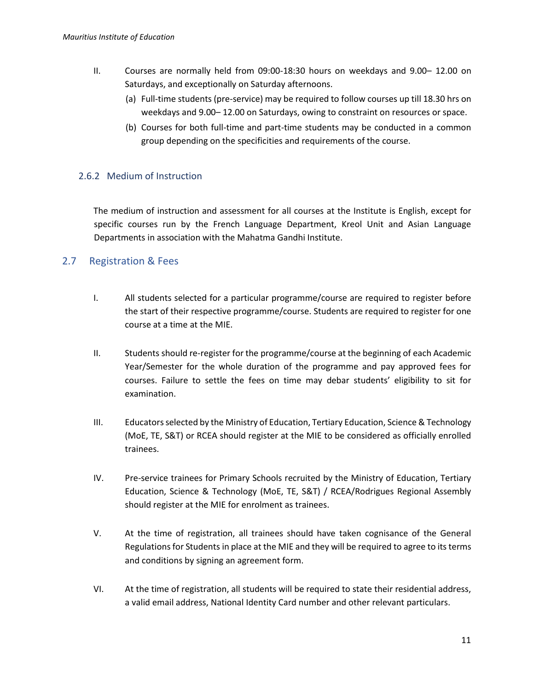- II. Courses are normally held from 09:00-18:30 hours on weekdays and 9.00– 12.00 on Saturdays, and exceptionally on Saturday afternoons.
	- (a) Full-time students (pre-service) may be required to follow courses up till 18.30 hrs on weekdays and 9.00– 12.00 on Saturdays, owing to constraint on resources or space.
	- (b) Courses for both full-time and part-time students may be conducted in a common group depending on the specificities and requirements of the course.

#### <span id="page-10-0"></span>2.6.2 Medium of Instruction

The medium of instruction and assessment for all courses at the Institute is English, except for specific courses run by the French Language Department, Kreol Unit and Asian Language Departments in association with the Mahatma Gandhi Institute.

#### <span id="page-10-1"></span>2.7 Registration & Fees

- I. All students selected for a particular programme/course are required to register before the start of their respective programme/course. Students are required to register for one course at a time at the MIE.
- II. Students should re-register for the programme/course at the beginning of each Academic Year/Semester for the whole duration of the programme and pay approved fees for courses. Failure to settle the fees on time may debar students' eligibility to sit for examination.
- III. Educators selected by the Ministry of Education, Tertiary Education, Science & Technology (MoE, TE, S&T) or RCEA should register at the MIE to be considered as officially enrolled trainees.
- IV. Pre-service trainees for Primary Schools recruited by the Ministry of Education, Tertiary Education, Science & Technology (MoE, TE, S&T) / RCEA/Rodrigues Regional Assembly should register at the MIE for enrolment as trainees.
- V. At the time of registration, all trainees should have taken cognisance of the General Regulations for Students in place at the MIE and they will be required to agree to its terms and conditions by signing an agreement form.
- VI. At the time of registration, all students will be required to state their residential address, a valid email address, National Identity Card number and other relevant particulars.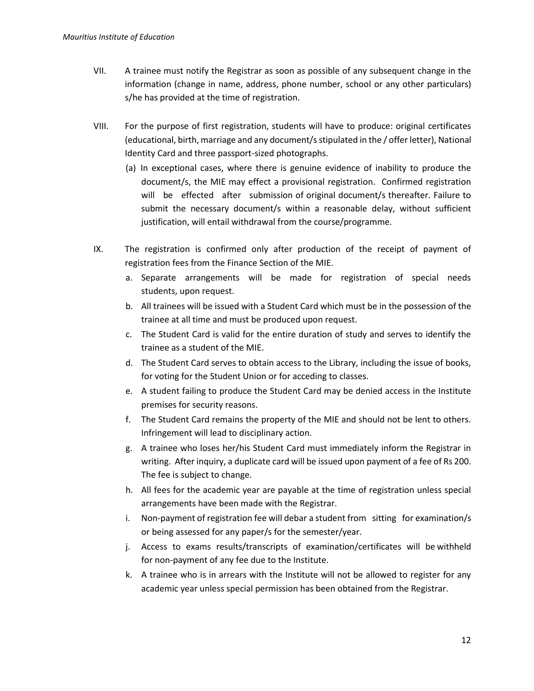- VII. A trainee must notify the Registrar as soon as possible of any subsequent change in the information (change in name, address, phone number, school or any other particulars) s/he has provided at the time of registration.
- VIII. For the purpose of first registration, students will have to produce: original certificates (educational, birth, marriage and any document/s stipulated in the / offer letter), National Identity Card and three passport-sized photographs.
	- (a) In exceptional cases, where there is genuine evidence of inability to produce the document/s, the MIE may effect a provisional registration. Confirmed registration will be effected after submission of original document/s thereafter. Failure to submit the necessary document/s within a reasonable delay, without sufficient justification, will entail withdrawal from the course/programme.
- IX. The registration is confirmed only after production of the receipt of payment of registration fees from the Finance Section of the MIE.
	- a. Separate arrangements will be made for registration of special needs students, upon request.
	- b. All trainees will be issued with a Student Card which must be in the possession of the trainee at all time and must be produced upon request.
	- c. The Student Card is valid for the entire duration of study and serves to identify the trainee as a student of the MIE.
	- d. The Student Card serves to obtain access to the Library, including the issue of books, for voting for the Student Union or for acceding to classes.
	- e. A student failing to produce the Student Card may be denied access in the Institute premises for security reasons.
	- f. The Student Card remains the property of the MIE and should not be lent to others. Infringement will lead to disciplinary action.
	- g. A trainee who loses her/his Student Card must immediately inform the Registrar in writing. After inquiry, a duplicate card will be issued upon payment of a fee of Rs 200. The fee is subject to change.
	- h. All fees for the academic year are payable at the time of registration unless special arrangements have been made with the Registrar.
	- i. Non-payment of registration fee will debar a student from sitting for examination/s or being assessed for any paper/s for the semester/year.
	- j. Access to exams results/transcripts of examination/certificates will be withheld for non-payment of any fee due to the Institute.
	- k. A trainee who is in arrears with the Institute will not be allowed to register for any academic year unless special permission has been obtained from the Registrar.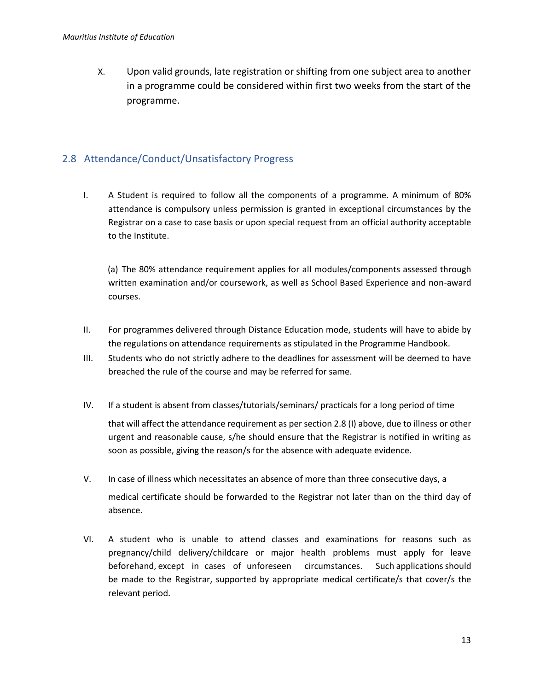X. Upon valid grounds, late registration or shifting from one subject area to another in a programme could be considered within first two weeks from the start of the programme.

### <span id="page-12-0"></span>2.8 Attendance/Conduct/Unsatisfactory Progress

I. A Student is required to follow all the components of a programme. A minimum of 80% attendance is compulsory unless permission is granted in exceptional circumstances by the Registrar on a case to case basis or upon special request from an official authority acceptable to the Institute.

(a) The 80% attendance requirement applies for all modules/components assessed through written examination and/or coursework, as well as School Based Experience and non-award courses.

- II. For programmes delivered through Distance Education mode, students will have to abide by the regulations on attendance requirements as stipulated in the Programme Handbook.
- III. Students who do not strictly adhere to the deadlines for assessment will be deemed to have breached the rule of the course and may be referred for same.
- IV. If a student is absent from classes/tutorials/seminars/ practicals for a long period of time that will affect the attendance requirement as per section 2.8 (I) above, due to illness or other urgent and reasonable cause, s/he should ensure that the Registrar is notified in writing as soon as possible, giving the reason/s for the absence with adequate evidence.
- V. In case of illness which necessitates an absence of more than three consecutive days, a medical certificate should be forwarded to the Registrar not later than on the third day of absence.
- VI. A student who is unable to attend classes and examinations for reasons such as pregnancy/child delivery/childcare or major health problems must apply for leave beforehand, except in cases of unforeseen circumstances. Such applications should be made to the Registrar, supported by appropriate medical certificate/s that cover/s the relevant period.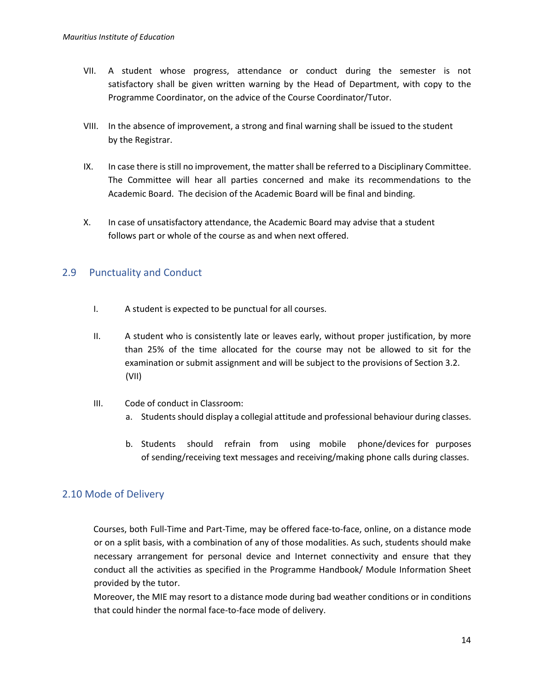- VII. A student whose progress, attendance or conduct during the semester is not satisfactory shall be given written warning by the Head of Department, with copy to the Programme Coordinator, on the advice of the Course Coordinator/Tutor.
- VIII. In the absence of improvement, a strong and final warning shall be issued to the student by the Registrar.
- IX. In case there is still no improvement, the matter shall be referred to a Disciplinary Committee. The Committee will hear all parties concerned and make its recommendations to the Academic Board. The decision of the Academic Board will be final and binding.
- X. In case of unsatisfactory attendance, the Academic Board may advise that a student follows part or whole of the course as and when next offered.

#### <span id="page-13-0"></span>2.9 Punctuality and Conduct

- I. A student is expected to be punctual for all courses.
- II. A student who is consistently late or leaves early, without proper justification, by more than 25% of the time allocated for the course may not be allowed to sit for the examination or submit assignment and will be subject to the provisions of Section 3.2. (VII)
- III. Code of conduct in Classroom:
	- a. Students should display a collegial attitude and professional behaviour during classes.
	- b. Students should refrain from using mobile phone/devices for purposes of sending/receiving text messages and receiving/making phone calls during classes.

#### <span id="page-13-1"></span>2.10 Mode of Delivery

Courses, both Full-Time and Part-Time, may be offered face-to-face, online, on a distance mode or on a split basis, with a combination of any of those modalities. As such, students should make necessary arrangement for personal device and Internet connectivity and ensure that they conduct all the activities as specified in the Programme Handbook/ Module Information Sheet provided by the tutor.

Moreover, the MIE may resort to a distance mode during bad weather conditions or in conditions that could hinder the normal face-to-face mode of delivery.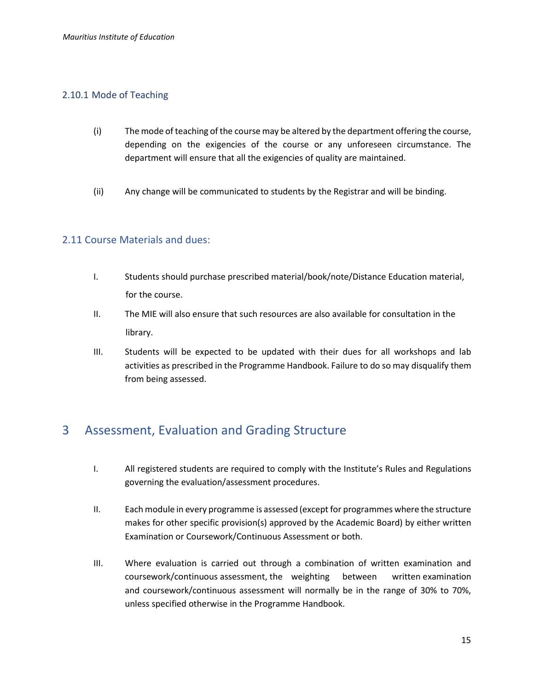#### <span id="page-14-0"></span>2.10.1 Mode of Teaching

- (i) The mode of teaching of the course may be altered by the department offering the course, depending on the exigencies of the course or any unforeseen circumstance. The department will ensure that all the exigencies of quality are maintained.
- (ii) Any change will be communicated to students by the Registrar and will be binding.

#### <span id="page-14-1"></span>2.11 Course Materials and dues:

- I. Students should purchase prescribed material/book/note/Distance Education material, for the course.
- II. The MIE will also ensure that such resources are also available for consultation in the library.
- III. Students will be expected to be updated with their dues for all workshops and lab activities as prescribed in the Programme Handbook. Failure to do so may disqualify them from being assessed.

## <span id="page-14-2"></span>3 Assessment, Evaluation and Grading Structure

- I. All registered students are required to comply with the Institute's Rules and Regulations governing the evaluation/assessment procedures.
- II. Each module in every programme is assessed (except for programmes where the structure makes for other specific provision(s) approved by the Academic Board) by either written Examination or Coursework/Continuous Assessment or both.
- III. Where evaluation is carried out through a combination of written examination and coursework/continuous assessment, the weighting between written examination and coursework/continuous assessment will normally be in the range of 30% to 70%, unless specified otherwise in the Programme Handbook.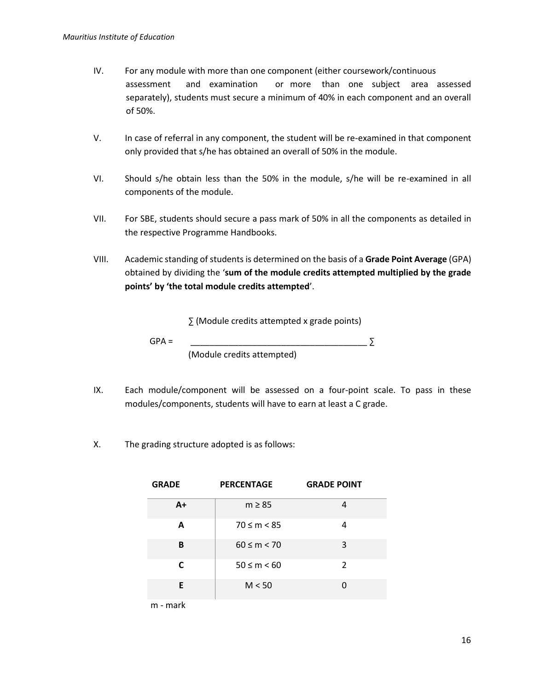- IV. For any module with more than one component (either coursework/continuous assessment and examination or more than one subject area assessed separately), students must secure a minimum of 40% in each component and an overall of 50%.
- V. In case of referral in any component, the student will be re-examined in that component only provided that s/he has obtained an overall of 50% in the module.
- VI. Should s/he obtain less than the 50% in the module, s/he will be re-examined in all components of the module.
- VII. For SBE, students should secure a pass mark of 50% in all the components as detailed in the respective Programme Handbooks.
- VIII. Academic standing of students is determined on the basis of a **Grade Point Average** (GPA) obtained by dividing the '**sum of the module credits attempted multiplied by the grade points' by 'the total module credits attempted**'.

∑ (Module credits attempted x grade points)

 $GPA =$ 

(Module credits attempted)

- IX. Each module/component will be assessed on a four-point scale. To pass in these modules/components, students will have to earn at least a C grade.
- X. The grading structure adopted is as follows:

| <b>GRADE</b> | <b>PERCENTAGE</b> | <b>GRADE POINT</b> |
|--------------|-------------------|--------------------|
| $A+$         | $m \geq 85$       |                    |
| A            | $70 \le m < 85$   | 4                  |
| В            | $60 \le m < 70$   | 3                  |
| C            | $50 \le m \le 60$ | 2                  |
| E            | M < 50            | O                  |

m - mark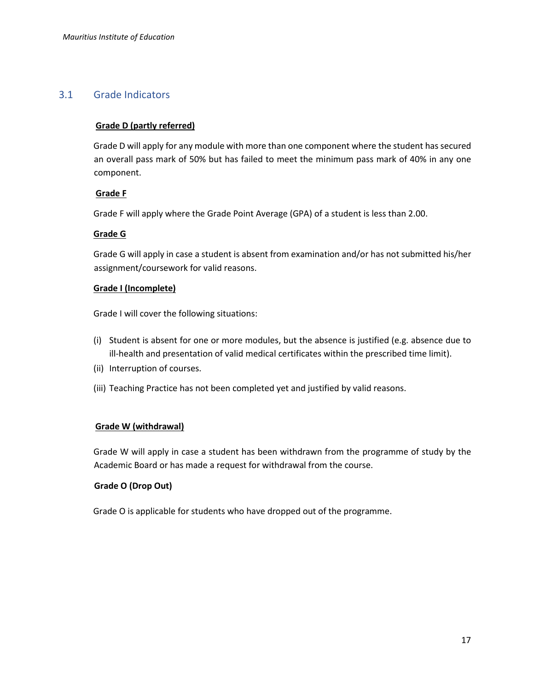#### <span id="page-16-0"></span>3.1 Grade Indicators

#### **Grade D (partly referred)**

Grade D will apply for any module with more than one component where the student has secured an overall pass mark of 50% but has failed to meet the minimum pass mark of 40% in any one component.

#### **Grade F**

Grade F will apply where the Grade Point Average (GPA) of a student is less than 2.00.

#### **Grade G**

Grade G will apply in case a student is absent from examination and/or has not submitted his/her assignment/coursework for valid reasons.

#### **Grade I (Incomplete)**

Grade I will cover the following situations:

- (i) Student is absent for one or more modules, but the absence is justified (e.g. absence due to ill-health and presentation of valid medical certificates within the prescribed time limit).
- (ii) Interruption of courses.
- (iii) Teaching Practice has not been completed yet and justified by valid reasons.

#### **Grade W (withdrawal)**

Grade W will apply in case a student has been withdrawn from the programme of study by the Academic Board or has made a request for withdrawal from the course.

#### **Grade O (Drop Out)**

Grade O is applicable for students who have dropped out of the programme.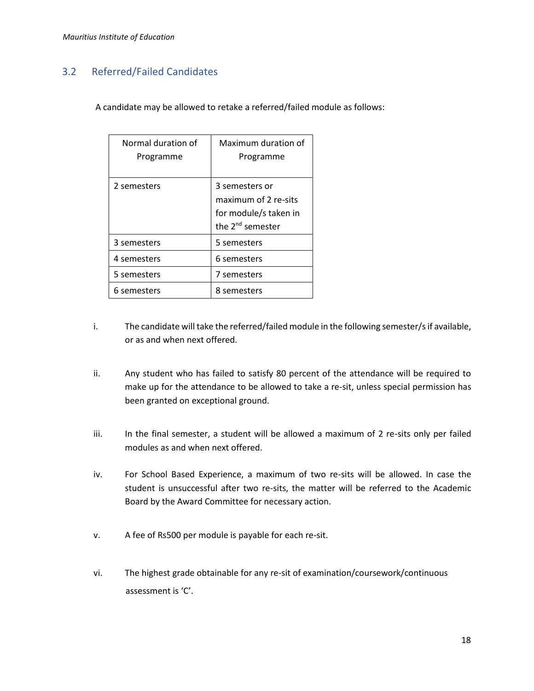### <span id="page-17-0"></span>3.2 Referred/Failed Candidates

A candidate may be allowed to retake a referred/failed module as follows:

| Normal duration of<br>Programme | Maximum duration of<br>Programme                                                                |
|---------------------------------|-------------------------------------------------------------------------------------------------|
| 2 semesters                     | 3 semesters or<br>maximum of 2 re-sits<br>for module/s taken in<br>the 2 <sup>nd</sup> semester |
| 3 semesters                     | 5 semesters                                                                                     |
| 4 semesters                     | 6 semesters                                                                                     |
| 5 semesters                     | 7 semesters                                                                                     |
| 6 semesters                     | 8 semesters                                                                                     |

- i. The candidate will take the referred/failed module in the following semester/s if available, or as and when next offered.
- ii. Any student who has failed to satisfy 80 percent of the attendance will be required to make up for the attendance to be allowed to take a re-sit, unless special permission has been granted on exceptional ground.
- iii. In the final semester, a student will be allowed a maximum of 2 re-sits only per failed modules as and when next offered.
- iv. For School Based Experience, a maximum of two re-sits will be allowed. In case the student is unsuccessful after two re-sits, the matter will be referred to the Academic Board by the Award Committee for necessary action.
- v. A fee of Rs500 per module is payable for each re-sit.
- vi. The highest grade obtainable for any re-sit of examination/coursework/continuous assessment is 'C'.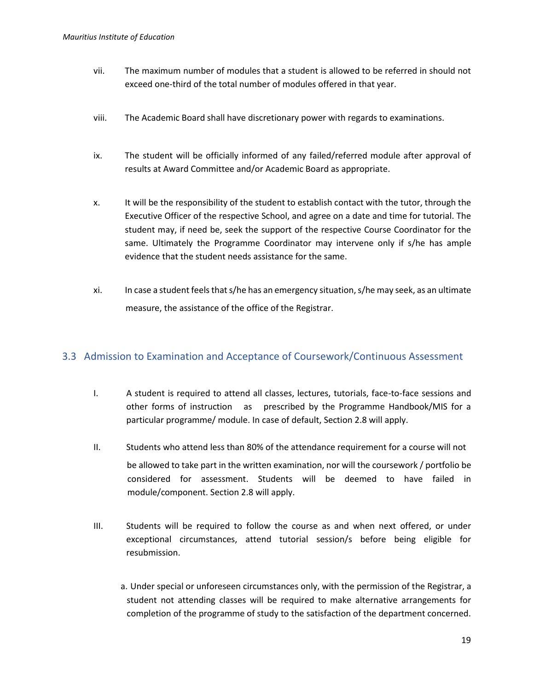- vii. The maximum number of modules that a student is allowed to be referred in should not exceed one-third of the total number of modules offered in that year.
- viii. The Academic Board shall have discretionary power with regards to examinations.
- ix. The student will be officially informed of any failed/referred module after approval of results at Award Committee and/or Academic Board as appropriate.
- x. It will be the responsibility of the student to establish contact with the tutor, through the Executive Officer of the respective School, and agree on a date and time for tutorial. The student may, if need be, seek the support of the respective Course Coordinator for the same. Ultimately the Programme Coordinator may intervene only if s/he has ample evidence that the student needs assistance for the same.
- xi. In case a student feels that s/he has an emergency situation, s/he may seek, as an ultimate measure, the assistance of the office of the Registrar.

#### <span id="page-18-0"></span>3.3 Admission to Examination and Acceptance of Coursework/Continuous Assessment

- I. A student is required to attend all classes, lectures, tutorials, face-to-face sessions and other forms of instruction as prescribed by the Programme Handbook/MIS for a particular programme/ module. In case of default, Section 2.8 will apply.
- II. Students who attend less than 80% of the attendance requirement for a course will not be allowed to take part in the written examination, nor will the coursework / portfolio be considered for assessment. Students will be deemed to have failed in module/component. Section 2.8 will apply.
- III. Students will be required to follow the course as and when next offered, or under exceptional circumstances, attend tutorial session/s before being eligible for resubmission.
	- a. Under special or unforeseen circumstances only, with the permission of the Registrar, a student not attending classes will be required to make alternative arrangements for completion of the programme of study to the satisfaction of the department concerned.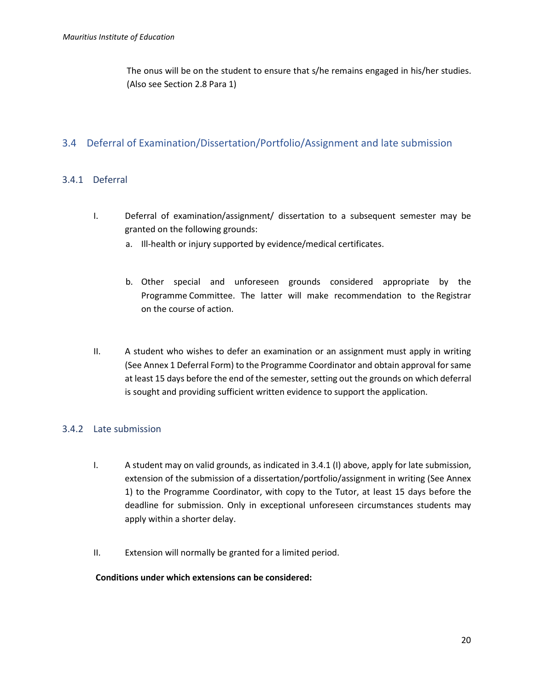The onus will be on the student to ensure that s/he remains engaged in his/her studies. (Also see Section 2.8 Para 1)

#### <span id="page-19-0"></span>3.4 Deferral of Examination/Dissertation/Portfolio/Assignment and late submission

#### <span id="page-19-1"></span>3.4.1 Deferral

- I. Deferral of examination/assignment/ dissertation to a subsequent semester may be granted on the following grounds:
	- a. Ill-health or injury supported by evidence/medical certificates.
	- b. Other special and unforeseen grounds considered appropriate by the Programme Committee. The latter will make recommendation to the Registrar on the course of action.
- II. A student who wishes to defer an examination or an assignment must apply in writing (See Annex 1 Deferral Form) to the Programme Coordinator and obtain approval for same at least 15 days before the end of the semester, setting out the grounds on which deferral is sought and providing sufficient written evidence to support the application.

#### <span id="page-19-2"></span>3.4.2 Late submission

- I. A student may on valid grounds, as indicated in 3.4.1 (I) above, apply for late submission, extension of the submission of a dissertation/portfolio/assignment in writing (See Annex 1) to the Programme Coordinator, with copy to the Tutor, at least 15 days before the deadline for submission. Only in exceptional unforeseen circumstances students may apply within a shorter delay.
- II. Extension will normally be granted for a limited period.

#### **Conditions under which extensions can be considered:**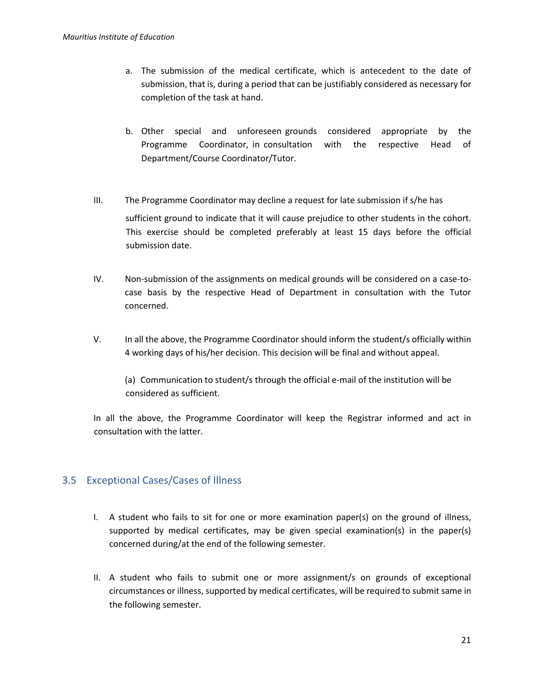- a. The submission of the medical certificate, which is antecedent to the date of submission, that is, during a period that can be justifiably considered as necessary for completion of the task at hand.
- b. Other special and unforeseen grounds considered appropriate by the Programme Coordinator, in consultation with the respective Head of Department/Course Coordinator/Tutor.
- III. The Programme Coordinator may decline a request for late submission if s/he has sufficient ground to indicate that it will cause prejudice to other students in the cohort. This exercise should be completed preferably at least 15 days before the official submission date.
- IV. Non-submission of the assignments on medical grounds will be considered on a case-tocase basis by the respective Head of Department in consultation with the Tutor concerned.
- V. In all the above, the Programme Coordinator should inform the student/s officially within 4 working days of his/her decision. This decision will be final and without appeal.

(a) Communication to student/s through the official e-mail of the institution will be considered as sufficient.

In all the above, the Programme Coordinator will keep the Registrar informed and act in consultation with the latter.

#### <span id="page-20-0"></span>3.5 Exceptional Cases/Cases of Illness

- I. A student who fails to sit for one or more examination paper(s) on the ground of illness, supported by medical certificates, may be given special examination(s) in the paper(s) concerned during/at the end of the following semester.
- II. A student who fails to submit one or more assignment/s on grounds of exceptional circumstances or illness, supported by medical certificates, will be required to submit same in the following semester.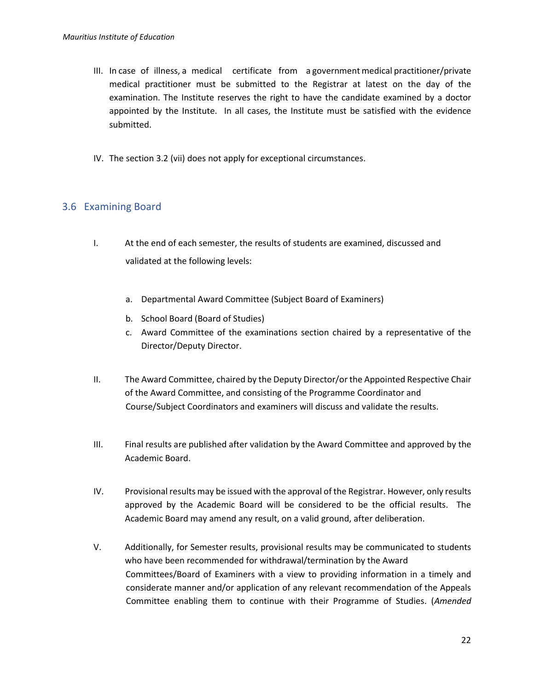- III. In case of illness, a medical certificate from a government medical practitioner/private medical practitioner must be submitted to the Registrar at latest on the day of the examination. The Institute reserves the right to have the candidate examined by a doctor appointed by the Institute. In all cases, the Institute must be satisfied with the evidence submitted.
- IV. The section 3.2 (vii) does not apply for exceptional circumstances.

#### <span id="page-21-0"></span>3.6 Examining Board

- I. At the end of each semester, the results of students are examined, discussed and validated at the following levels:
	- a. Departmental Award Committee (Subject Board of Examiners)
	- b. School Board (Board of Studies)
	- c. Award Committee of the examinations section chaired by a representative of the Director/Deputy Director.
- II. The Award Committee, chaired by the Deputy Director/or the Appointed Respective Chair of the Award Committee, and consisting of the Programme Coordinator and Course/Subject Coordinators and examiners will discuss and validate the results.
- III. Final results are published after validation by the Award Committee and approved by the Academic Board.
- IV. Provisional results may be issued with the approval of the Registrar. However, only results approved by the Academic Board will be considered to be the official results. The Academic Board may amend any result, on a valid ground, after deliberation.
- V. Additionally, for Semester results, provisional results may be communicated to students who have been recommended for withdrawal/termination by the Award Committees/Board of Examiners with a view to providing information in a timely and considerate manner and/or application of any relevant recommendation of the Appeals Committee enabling them to continue with their Programme of Studies. (*Amended*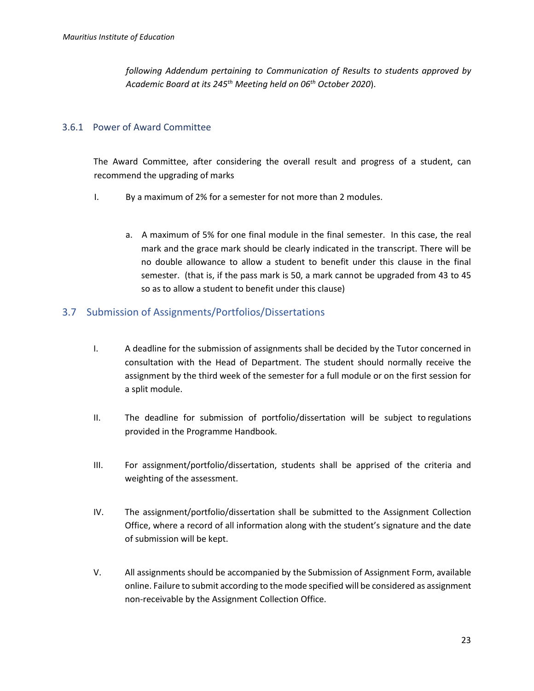*following Addendum pertaining to Communication of Results to students approved by Academic Board at its 245th Meeting held on 06th October 2020*).

#### <span id="page-22-0"></span>3.6.1 Power of Award Committee

The Award Committee, after considering the overall result and progress of a student, can recommend the upgrading of marks

- I. By a maximum of 2% for a semester for not more than 2 modules.
	- a. A maximum of 5% for one final module in the final semester. In this case, the real mark and the grace mark should be clearly indicated in the transcript. There will be no double allowance to allow a student to benefit under this clause in the final semester. (that is, if the pass mark is 50, a mark cannot be upgraded from 43 to 45 so as to allow a student to benefit under this clause)

#### <span id="page-22-1"></span>3.7 Submission of Assignments/Portfolios/Dissertations

- I. A deadline for the submission of assignments shall be decided by the Tutor concerned in consultation with the Head of Department. The student should normally receive the assignment by the third week of the semester for a full module or on the first session for a split module.
- II. The deadline for submission of portfolio/dissertation will be subject to regulations provided in the Programme Handbook.
- III. For assignment/portfolio/dissertation, students shall be apprised of the criteria and weighting of the assessment.
- IV. The assignment/portfolio/dissertation shall be submitted to the Assignment Collection Office, where a record of all information along with the student's signature and the date of submission will be kept.
- V. All assignments should be accompanied by the Submission of Assignment Form, available online. Failure to submit according to the mode specified will be considered as assignment non-receivable by the Assignment Collection Office.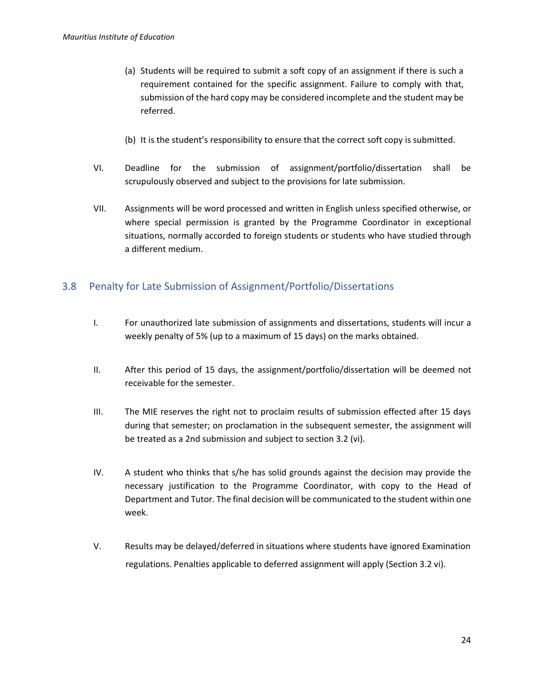- (a) Students will be required to submit a soft copy of an assignment if there is such a requirement contained for the specific assignment. Failure to comply with that, submission of the hard copy may be considered incomplete and the student may be referred.
- (b) It is the student's responsibility to ensure that the correct soft copy is submitted.
- VI. Deadline for the submission of assignment/portfolio/dissertation shall be scrupulously observed and subject to the provisions for late submission.
- VII. Assignments will be word processed and written in English unless specified otherwise, or where special permission is granted by the Programme Coordinator in exceptional situations, normally accorded to foreign students or students who have studied through a different medium.

#### <span id="page-23-0"></span>3.8 Penalty for Late Submission of Assignment/Portfolio/Dissertations

- I. For unauthorized late submission of assignments and dissertations, students will incur a weekly penalty of 5% (up to a maximum of 15 days) on the marks obtained.
- II. After this period of 15 days, the assignment/portfolio/dissertation will be deemed not receivable for the semester.
- III. The MIE reserves the right not to proclaim results of submission effected after 15 days during that semester; on proclamation in the subsequent semester, the assignment will be treated as a 2nd submission and subject to section 3.2 (vi).
- IV. A student who thinks that s/he has solid grounds against the decision may provide the necessary justification to the Programme Coordinator, with copy to the Head of Department and Tutor. The final decision will be communicated to the student within one week.
- V. Results may be delayed/deferred in situations where students have ignored Examination regulations. Penalties applicable to deferred assignment will apply (Section 3.2 vi).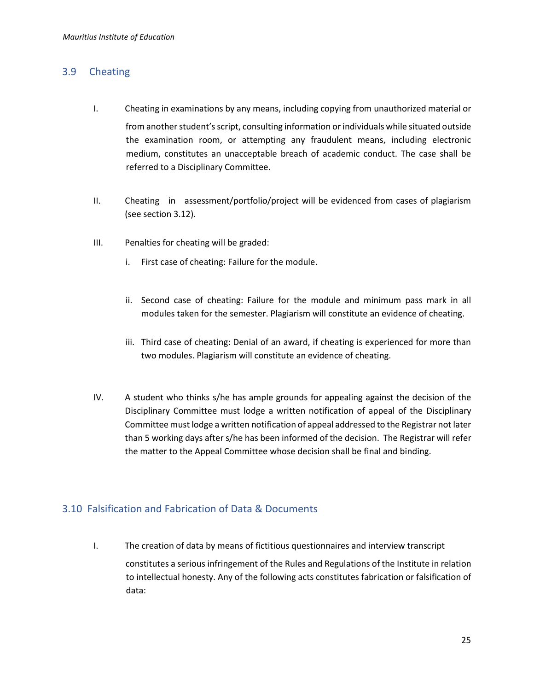#### <span id="page-24-0"></span>3.9 Cheating

- I. Cheating in examinations by any means, including copying from unauthorized material or from another student's script, consulting information or individuals while situated outside the examination room, or attempting any fraudulent means, including electronic medium, constitutes an unacceptable breach of academic conduct. The case shall be referred to a Disciplinary Committee.
- II. Cheating in assessment/portfolio/project will be evidenced from cases of plagiarism (see section 3.12).
- III. Penalties for cheating will be graded:
	- i. First case of cheating: Failure for the module.
	- ii. Second case of cheating: Failure for the module and minimum pass mark in all modules taken for the semester. Plagiarism will constitute an evidence of cheating.
	- iii. Third case of cheating: Denial of an award, if cheating is experienced for more than two modules. Plagiarism will constitute an evidence of cheating.
- IV. A student who thinks s/he has ample grounds for appealing against the decision of the Disciplinary Committee must lodge a written notification of appeal of the Disciplinary Committee must lodge a written notification of appeal addressed to the Registrar not later than 5 working days after s/he has been informed of the decision. The Registrar will refer the matter to the Appeal Committee whose decision shall be final and binding.

#### <span id="page-24-1"></span>3.10 Falsification and Fabrication of Data & Documents

I. The creation of data by means of fictitious questionnaires and interview transcript constitutes a serious infringement of the Rules and Regulations of the Institute in relation to intellectual honesty. Any of the following acts constitutes fabrication or falsification of data: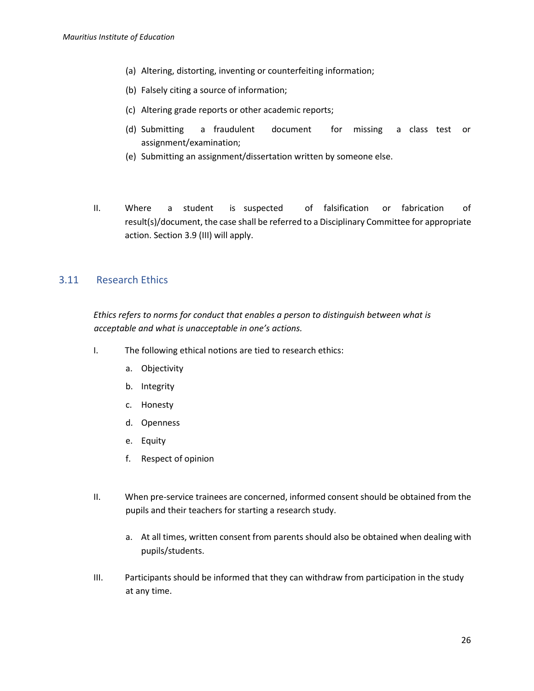- (a) Altering, distorting, inventing or counterfeiting information;
- (b) Falsely citing a source of information;
- (c) Altering grade reports or other academic reports;
- (d) Submitting a fraudulent document for missing a class test or assignment/examination;
- (e) Submitting an assignment/dissertation written by someone else.
- II. Where a student is suspected of falsification or fabrication of result(s)/document, the case shall be referred to a Disciplinary Committee for appropriate action. Section 3.9 (III) will apply.

#### <span id="page-25-0"></span>3.11 Research Ethics

*Ethics refers to norms for conduct that enables a person to distinguish between what is acceptable and what is unacceptable in one's actions.* 

- I. The following ethical notions are tied to research ethics:
	- a. Objectivity
	- b. Integrity
	- c. Honesty
	- d. Openness
	- e. Equity
	- f. Respect of opinion
- II. When pre-service trainees are concerned, informed consent should be obtained from the pupils and their teachers for starting a research study.
	- a. At all times, written consent from parents should also be obtained when dealing with pupils/students.
- III. Participants should be informed that they can withdraw from participation in the study at any time.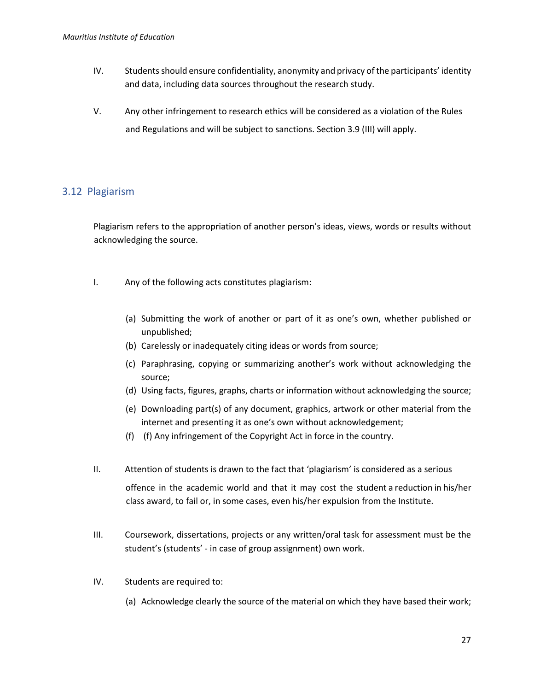- IV. Students should ensure confidentiality, anonymity and privacy of the participants' identity and data, including data sources throughout the research study.
- V. Any other infringement to research ethics will be considered as a violation of the Rules and Regulations and will be subject to sanctions. Section 3.9 (III) will apply.

#### <span id="page-26-0"></span>3.12 Plagiarism

Plagiarism refers to the appropriation of another person's ideas, views, words or results without acknowledging the source.

- I. Any of the following acts constitutes plagiarism:
	- (a) Submitting the work of another or part of it as one's own, whether published or unpublished;
	- (b) Carelessly or inadequately citing ideas or words from source;
	- (c) Paraphrasing, copying or summarizing another's work without acknowledging the source;
	- (d) Using facts, figures, graphs, charts or information without acknowledging the source;
	- (e) Downloading part(s) of any document, graphics, artwork or other material from the internet and presenting it as one's own without acknowledgement;
	- (f) (f) Any infringement of the Copyright Act in force in the country.
- II. Attention of students is drawn to the fact that 'plagiarism' is considered as a serious

offence in the academic world and that it may cost the student a reduction in his/her class award, to fail or, in some cases, even his/her expulsion from the Institute.

- III. Coursework, dissertations, projects or any written/oral task for assessment must be the student's (students' - in case of group assignment) own work.
- IV. Students are required to:
	- (a) Acknowledge clearly the source of the material on which they have based their work;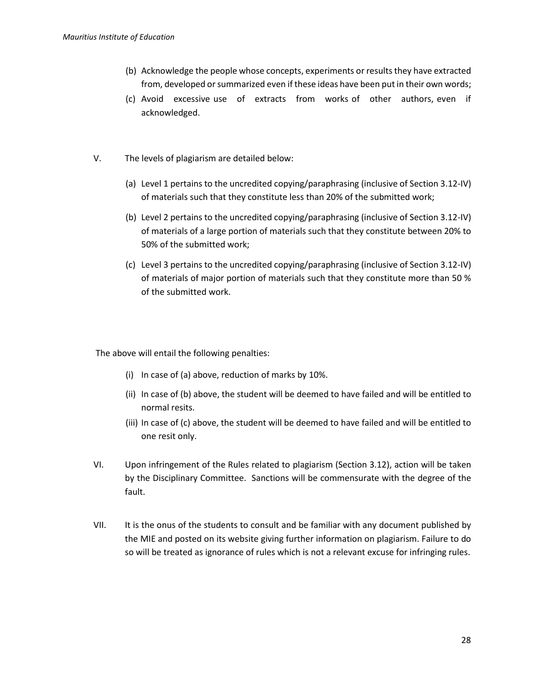- (b) Acknowledge the people whose concepts, experiments or results they have extracted from, developed or summarized even if these ideas have been put in their own words;
- (c) Avoid excessive use of extracts from works of other authors, even if acknowledged.
- V. The levels of plagiarism are detailed below:
	- (a) Level 1 pertains to the uncredited copying/paraphrasing (inclusive of Section 3.12-IV) of materials such that they constitute less than 20% of the submitted work;
	- (b) Level 2 pertains to the uncredited copying/paraphrasing (inclusive of Section 3.12-IV) of materials of a large portion of materials such that they constitute between 20% to 50% of the submitted work;
	- (c) Level 3 pertains to the uncredited copying/paraphrasing (inclusive of Section 3.12-IV) of materials of major portion of materials such that they constitute more than 50 % of the submitted work.

The above will entail the following penalties:

- (i) In case of (a) above, reduction of marks by 10%.
- (ii) In case of (b) above, the student will be deemed to have failed and will be entitled to normal resits.
- (iii) In case of (c) above, the student will be deemed to have failed and will be entitled to one resit only.
- VI. Upon infringement of the Rules related to plagiarism (Section 3.12), action will be taken by the Disciplinary Committee. Sanctions will be commensurate with the degree of the fault.
- VII. It is the onus of the students to consult and be familiar with any document published by the MIE and posted on its website giving further information on plagiarism. Failure to do so will be treated as ignorance of rules which is not a relevant excuse for infringing rules.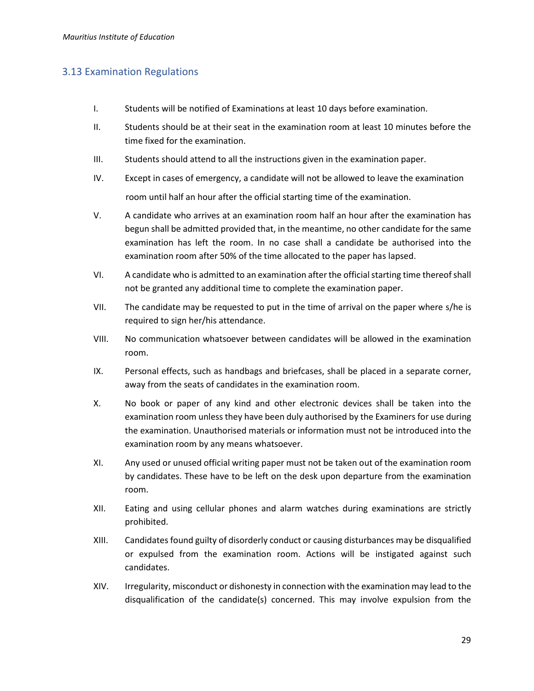#### <span id="page-28-0"></span>3.13 Examination Regulations

- I. Students will be notified of Examinations at least 10 days before examination.
- II. Students should be at their seat in the examination room at least 10 minutes before the time fixed for the examination.
- III. Students should attend to all the instructions given in the examination paper.
- IV. Except in cases of emergency, a candidate will not be allowed to leave the examination room until half an hour after the official starting time of the examination.
- V. A candidate who arrives at an examination room half an hour after the examination has begun shall be admitted provided that, in the meantime, no other candidate for the same examination has left the room. In no case shall a candidate be authorised into the examination room after 50% of the time allocated to the paper has lapsed.
- VI. A candidate who is admitted to an examination after the official starting time thereof shall not be granted any additional time to complete the examination paper.
- VII. The candidate may be requested to put in the time of arrival on the paper where s/he is required to sign her/his attendance.
- VIII. No communication whatsoever between candidates will be allowed in the examination room.
- IX. Personal effects, such as handbags and briefcases, shall be placed in a separate corner, away from the seats of candidates in the examination room.
- X. No book or paper of any kind and other electronic devices shall be taken into the examination room unless they have been duly authorised by the Examiners for use during the examination. Unauthorised materials or information must not be introduced into the examination room by any means whatsoever.
- XI. Any used or unused official writing paper must not be taken out of the examination room by candidates. These have to be left on the desk upon departure from the examination room.
- XII. Eating and using cellular phones and alarm watches during examinations are strictly prohibited.
- XIII. Candidates found guilty of disorderly conduct or causing disturbances may be disqualified or expulsed from the examination room. Actions will be instigated against such candidates.
- XIV. Irregularity, misconduct or dishonesty in connection with the examination may lead to the disqualification of the candidate(s) concerned. This may involve expulsion from the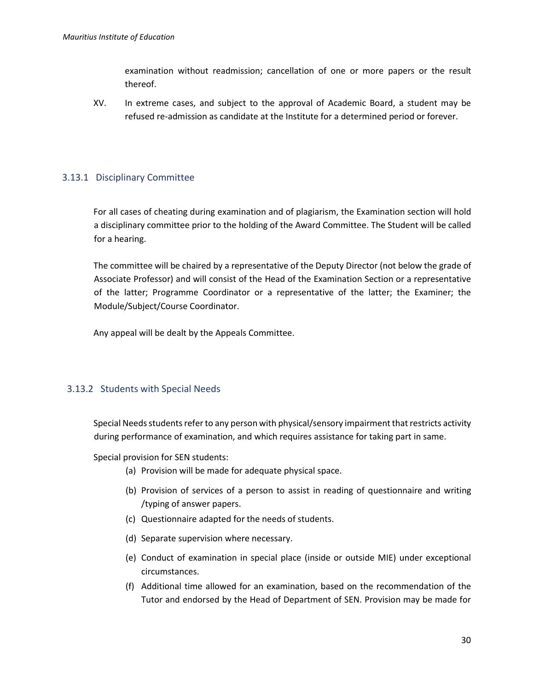examination without readmission; cancellation of one or more papers or the result thereof.

XV. In extreme cases, and subject to the approval of Academic Board, a student may be refused re-admission as candidate at the Institute for a determined period or forever.

#### <span id="page-29-0"></span>3.13.1 Disciplinary Committee

For all cases of cheating during examination and of plagiarism, the Examination section will hold a disciplinary committee prior to the holding of the Award Committee. The Student will be called for a hearing.

The committee will be chaired by a representative of the Deputy Director (not below the grade of Associate Professor) and will consist of the Head of the Examination Section or a representative of the latter; Programme Coordinator or a representative of the latter; the Examiner; the Module/Subject/Course Coordinator.

Any appeal will be dealt by the Appeals Committee.

#### <span id="page-29-1"></span>3.13.2 Students with Special Needs

Special Needs students refer to any person with physical/sensory impairment that restricts activity during performance of examination, and which requires assistance for taking part in same.

Special provision for SEN students:

- (a) Provision will be made for adequate physical space.
- (b) Provision of services of a person to assist in reading of questionnaire and writing /typing of answer papers.
- (c) Questionnaire adapted for the needs of students.
- (d) Separate supervision where necessary.
- (e) Conduct of examination in special place (inside or outside MIE) under exceptional circumstances.
- (f) Additional time allowed for an examination, based on the recommendation of the Tutor and endorsed by the Head of Department of SEN. Provision may be made for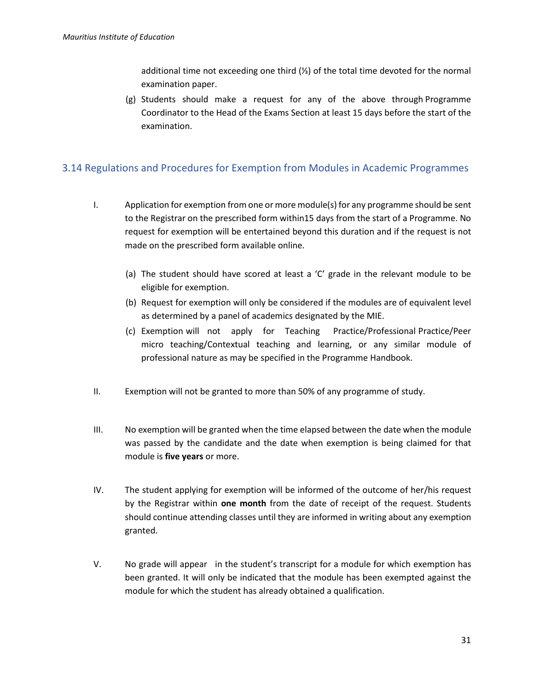additional time not exceeding one third (⅓) of the total time devoted for the normal examination paper.

(g) Students should make a request for any of the above through Programme Coordinator to the Head of the Exams Section at least 15 days before the start of the examination.

#### <span id="page-30-0"></span>3.14 Regulations and Procedures for Exemption from Modules in Academic Programmes

- I. Application for exemption from one or more module(s) for any programme should be sent to the Registrar on the prescribed form within15 days from the start of a Programme. No request for exemption will be entertained beyond this duration and if the request is not made on the prescribed form available online.
	- (a) The student should have scored at least a 'C' grade in the relevant module to be eligible for exemption.
	- (b) Request for exemption will only be considered if the modules are of equivalent level as determined by a panel of academics designated by the MIE.
	- (c) Exemption will not apply for Teaching Practice/Professional Practice/Peer micro teaching/Contextual teaching and learning, or any similar module of professional nature as may be specified in the Programme Handbook.
- II. Exemption will not be granted to more than 50% of any programme of study.
- III. No exemption will be granted when the time elapsed between the date when the module was passed by the candidate and the date when exemption is being claimed for that module is **five years** or more.
- IV. The student applying for exemption will be informed of the outcome of her/his request by the Registrar within **one month** from the date of receipt of the request. Students should continue attending classes until they are informed in writing about any exemption granted.
- V. No grade will appear in the student's transcript for a module for which exemption has been granted. It will only be indicated that the module has been exempted against the module for which the student has already obtained a qualification.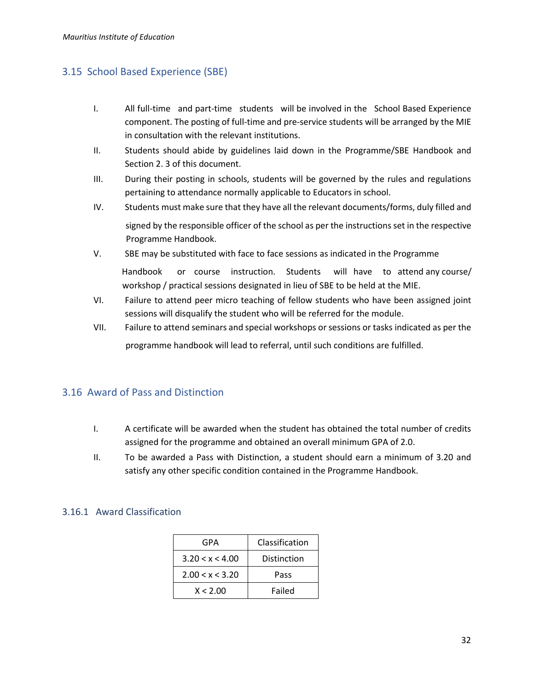#### <span id="page-31-0"></span>3.15 School Based Experience (SBE)

- I. All full-time and part-time students will be involved in the School Based Experience component. The posting of full-time and pre-service students will be arranged by the MIE in consultation with the relevant institutions.
- II. Students should abide by guidelines laid down in the Programme/SBE Handbook and Section 2. 3 of this document.
- III. During their posting in schools, students will be governed by the rules and regulations pertaining to attendance normally applicable to Educators in school.
- IV. Students must make sure that they have all the relevant documents/forms, duly filled and signed by the responsible officer of the school as per the instructions set in the respective Programme Handbook.
- V. SBE may be substituted with face to face sessions as indicated in the Programme Handbook or course instruction. Students will have to attend any course/ workshop / practical sessions designated in lieu of SBE to be held at the MIE.
- VI. Failure to attend peer micro teaching of fellow students who have been assigned joint sessions will disqualify the student who will be referred for the module.
- VII. Failure to attend seminars and special workshops or sessions or tasks indicated as per the

programme handbook will lead to referral, until such conditions are fulfilled.

#### <span id="page-31-1"></span>3.16 Award of Pass and Distinction

- I. A certificate will be awarded when the student has obtained the total number of credits assigned for the programme and obtained an overall minimum GPA of 2.0.
- II. To be awarded a Pass with Distinction, a student should earn a minimum of 3.20 and satisfy any other specific condition contained in the Programme Handbook.

#### <span id="page-31-2"></span>3.16.1 Award Classification

| GPA             | Classification |
|-----------------|----------------|
| 3.20 < x < 4.00 | Distinction    |
| 2.00 < x < 3.20 | Pass           |
| X < 2.00        | Failed         |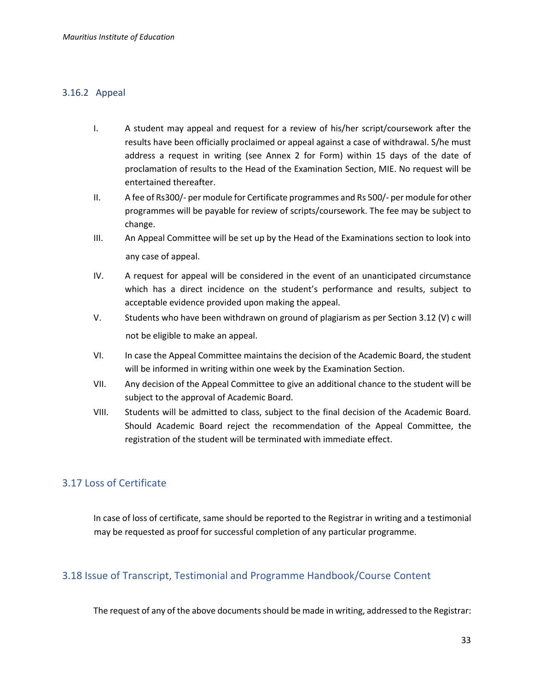#### <span id="page-32-0"></span>3.16.2 Appeal

- I. A student may appeal and request for a review of his/her script/coursework after the results have been officially proclaimed or appeal against a case of withdrawal. S/he must address a request in writing (see Annex 2 for Form) within 15 days of the date of proclamation of results to the Head of the Examination Section, MIE. No request will be entertained thereafter.
- II. A fee of Rs300/- per module for Certificate programmes and Rs 500/- per module for other programmes will be payable for review of scripts/coursework. The fee may be subject to change.
- III. An Appeal Committee will be set up by the Head of the Examinations section to look into any case of appeal.
- IV. A request for appeal will be considered in the event of an unanticipated circumstance which has a direct incidence on the student's performance and results, subject to acceptable evidence provided upon making the appeal.
- V. Students who have been withdrawn on ground of plagiarism as per Section 3.12 (V) c will not be eligible to make an appeal.
- VI. In case the Appeal Committee maintains the decision of the Academic Board, the student will be informed in writing within one week by the Examination Section.
- VII. Any decision of the Appeal Committee to give an additional chance to the student will be subject to the approval of Academic Board.
- VIII. Students will be admitted to class, subject to the final decision of the Academic Board. Should Academic Board reject the recommendation of the Appeal Committee, the registration of the student will be terminated with immediate effect.

#### <span id="page-32-1"></span>3.17 Loss of Certificate

In case of loss of certificate, same should be reported to the Registrar in writing and a testimonial may be requested as proof for successful completion of any particular programme.

#### <span id="page-32-2"></span>3.18 Issue of Transcript, Testimonial and Programme Handbook/Course Content

The request of any of the above documents should be made in writing, addressed to the Registrar: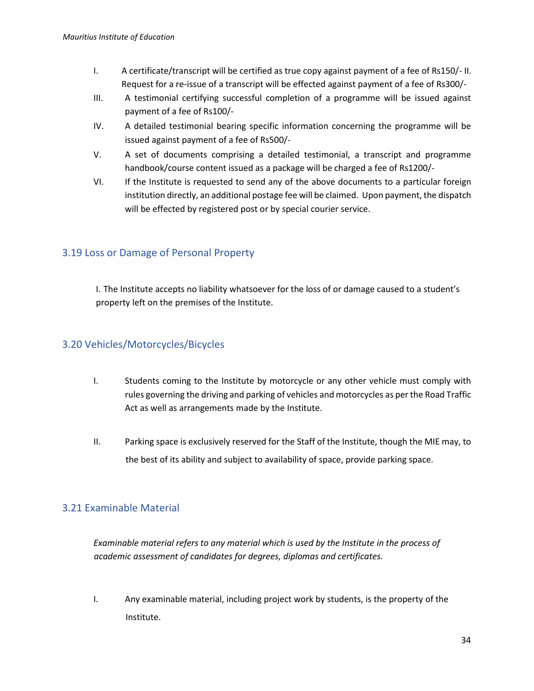- I. A certificate/transcript will be certified as true copy against payment of a fee of Rs150/- II. Request for a re-issue of a transcript will be effected against payment of a fee of Rs300/-
- III. A testimonial certifying successful completion of a programme will be issued against payment of a fee of Rs100/-
- IV. A detailed testimonial bearing specific information concerning the programme will be issued against payment of a fee of Rs500/-
- V. A set of documents comprising a detailed testimonial, a transcript and programme handbook/course content issued as a package will be charged a fee of Rs1200/-
- VI. If the Institute is requested to send any of the above documents to a particular foreign institution directly, an additional postage fee will be claimed. Upon payment, the dispatch will be effected by registered post or by special courier service.

#### <span id="page-33-0"></span>3.19 Loss or Damage of Personal Property

I. The Institute accepts no liability whatsoever for the loss of or damage caused to a student's property left on the premises of the Institute.

#### <span id="page-33-1"></span>3.20 Vehicles/Motorcycles/Bicycles

- I. Students coming to the Institute by motorcycle or any other vehicle must comply with rules governing the driving and parking of vehicles and motorcycles as per the Road Traffic Act as well as arrangements made by the Institute.
- II. Parking space is exclusively reserved for the Staff of the Institute, though the MIE may, to the best of its ability and subject to availability of space, provide parking space.

#### <span id="page-33-2"></span>3.21 Examinable Material

*Examinable material refers to any material which is used by the Institute in the process of academic assessment of candidates for degrees, diplomas and certificates.* 

I. Any examinable material, including project work by students, is the property of the Institute.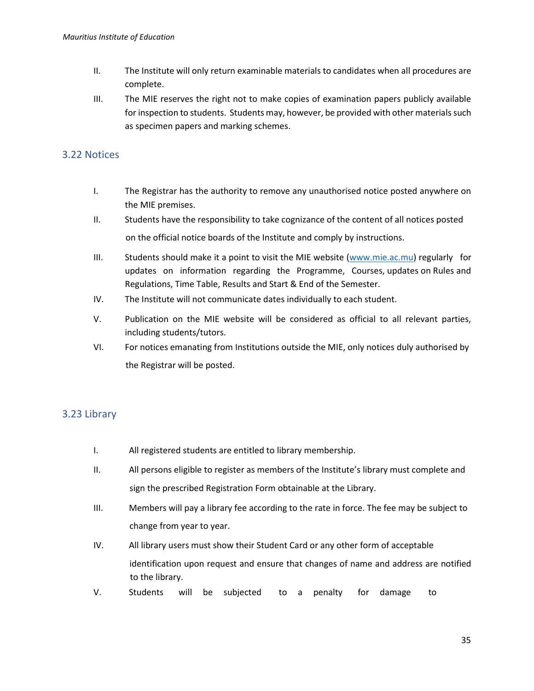- II. The Institute will only return examinable materials to candidates when all procedures are complete.
- III. The MIE reserves the right not to make copies of examination papers publicly available for inspection to students. Students may, however, be provided with other materials such as specimen papers and marking schemes.

#### <span id="page-34-0"></span>3.22 Notices

- I. The Registrar has the authority to remove any unauthorised notice posted anywhere on the MIE premises.
- II. Students have the responsibility to take cognizance of the content of all notices posted on the official notice boards of the Institute and comply by instructions.
- III. Students should make it a point to visit the MIE website [\(www.mie.ac.mu\)](http://www.mie.ac.mu/) regularly for updates on information regarding the Programme, Courses, updates on Rules and Regulations, Time Table, Results and Start & End of the Semester.
- IV. The Institute will not communicate dates individually to each student.
- V. Publication on the MIE website will be considered as official to all relevant parties, including students/tutors.
- VI. For notices emanating from Institutions outside the MIE, only notices duly authorised by the Registrar will be posted.

#### <span id="page-34-1"></span>3.23 Library

- I. All registered students are entitled to library membership.
- II. All persons eligible to register as members of the Institute's library must complete and sign the prescribed Registration Form obtainable at the Library.
- III. Members will pay a library fee according to the rate in force. The fee may be subject to change from year to year.
- IV. All library users must show their Student Card or any other form of acceptable identification upon request and ensure that changes of name and address are notified to the library.
- V. Students will be subjected to a penalty for damage to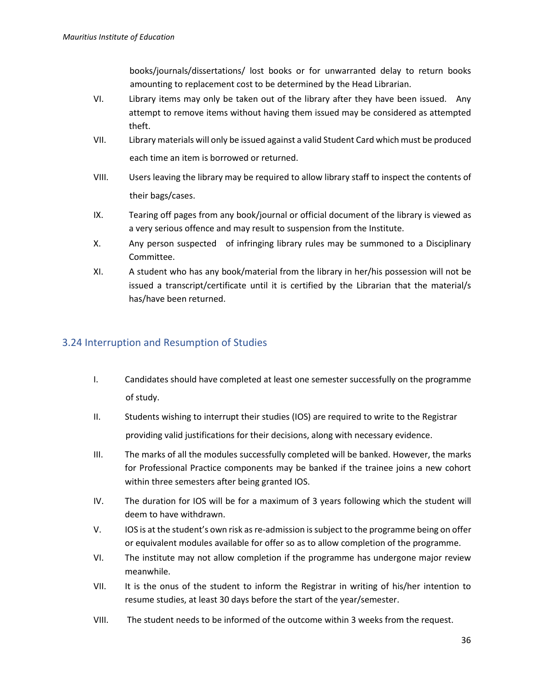books/journals/dissertations/ lost books or for unwarranted delay to return books amounting to replacement cost to be determined by the Head Librarian.

- VI. Library items may only be taken out of the library after they have been issued. Any attempt to remove items without having them issued may be considered as attempted theft.
- VII. Library materials will only be issued against a valid Student Card which must be produced each time an item is borrowed or returned.
- VIII. Users leaving the library may be required to allow library staff to inspect the contents of their bags/cases.
- IX. Tearing off pages from any book/journal or official document of the library is viewed as a very serious offence and may result to suspension from the Institute.
- X. Any person suspected of infringing library rules may be summoned to a Disciplinary Committee.
- XI. A student who has any book/material from the library in her/his possession will not be issued a transcript/certificate until it is certified by the Librarian that the material/s has/have been returned.

#### <span id="page-35-0"></span>3.24 Interruption and Resumption of Studies

- I. Candidates should have completed at least one semester successfully on the programme of study.
- II. Students wishing to interrupt their studies (IOS) are required to write to the Registrar providing valid justifications for their decisions, along with necessary evidence.
- III. The marks of all the modules successfully completed will be banked. However, the marks for Professional Practice components may be banked if the trainee joins a new cohort within three semesters after being granted IOS.
- IV. The duration for IOS will be for a maximum of 3 years following which the student will deem to have withdrawn.
- V. IOS is at the student's own risk as re-admission is subject to the programme being on offer or equivalent modules available for offer so as to allow completion of the programme.
- VI. The institute may not allow completion if the programme has undergone major review meanwhile.
- VII. It is the onus of the student to inform the Registrar in writing of his/her intention to resume studies, at least 30 days before the start of the year/semester.
- VIII. The student needs to be informed of the outcome within 3 weeks from the request.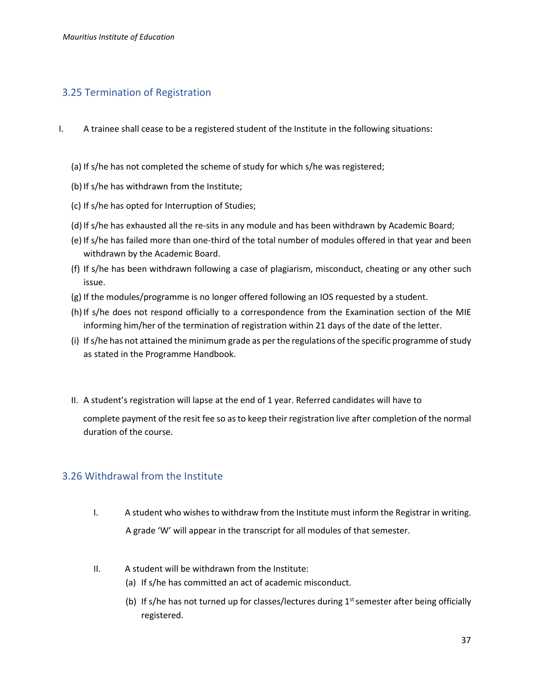#### <span id="page-36-0"></span>3.25 Termination of Registration

- I. A trainee shall cease to be a registered student of the Institute in the following situations:
	- (a) If s/he has not completed the scheme of study for which s/he was registered;
	- (b) If s/he has withdrawn from the Institute;
	- (c) If s/he has opted for Interruption of Studies;
	- (d) If s/he has exhausted all the re-sits in any module and has been withdrawn by Academic Board;
	- (e) If s/he has failed more than one-third of the total number of modules offered in that year and been withdrawn by the Academic Board.
	- (f) If s/he has been withdrawn following a case of plagiarism, misconduct, cheating or any other such issue.
	- (g) If the modules/programme is no longer offered following an IOS requested by a student.
	- (h) If s/he does not respond officially to a correspondence from the Examination section of the MIE informing him/her of the termination of registration within 21 days of the date of the letter.
	- (i) If s/he has not attained the minimum grade as per the regulations of the specific programme of study as stated in the Programme Handbook.
	- II. A student's registration will lapse at the end of 1 year. Referred candidates will have to

complete payment of the resit fee so as to keep their registration live after completion of the normal duration of the course.

#### <span id="page-36-1"></span>3.26 Withdrawal from the Institute

- I. A student who wishes to withdraw from the Institute must inform the Registrar in writing. A grade 'W' will appear in the transcript for all modules of that semester.
- II. A student will be withdrawn from the Institute:
	- (a) If s/he has committed an act of academic misconduct.
	- (b) If s/he has not turned up for classes/lectures during  $1<sup>st</sup>$  semester after being officially registered.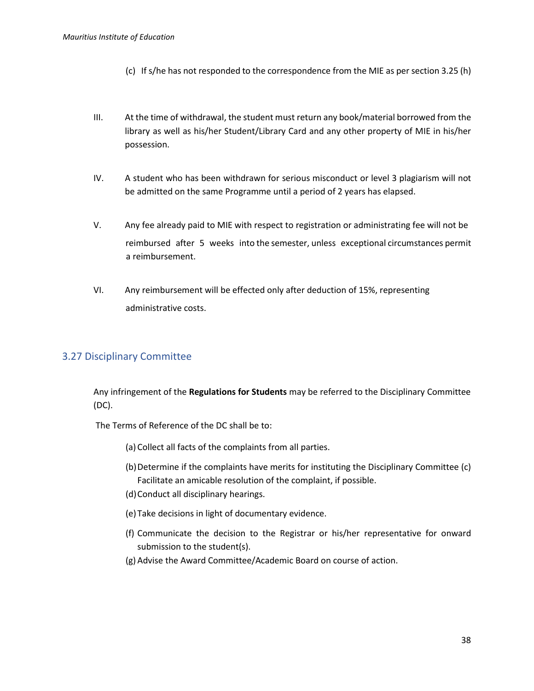- (c) If s/he has not responded to the correspondence from the MIE as per section 3.25 (h)
- III. At the time of withdrawal, the student must return any book/material borrowed from the library as well as his/her Student/Library Card and any other property of MIE in his/her possession.
- IV. A student who has been withdrawn for serious misconduct or level 3 plagiarism will not be admitted on the same Programme until a period of 2 years has elapsed.
- V. Any fee already paid to MIE with respect to registration or administrating fee will not be reimbursed after 5 weeks into the semester, unless exceptional circumstances permit a reimbursement.
- VI. Any reimbursement will be effected only after deduction of 15%, representing administrative costs.

#### <span id="page-37-0"></span>3.27 Disciplinary Committee

Any infringement of the **Regulations for Students** may be referred to the Disciplinary Committee (DC).

The Terms of Reference of the DC shall be to:

- (a) Collect all facts of the complaints from all parties.
- (b)Determine if the complaints have merits for instituting the Disciplinary Committee (c) Facilitate an amicable resolution of the complaint, if possible.
- (d)Conduct all disciplinary hearings.
- (e)Take decisions in light of documentary evidence.
- (f) Communicate the decision to the Registrar or his/her representative for onward submission to the student(s).
- (g) Advise the Award Committee/Academic Board on course of action.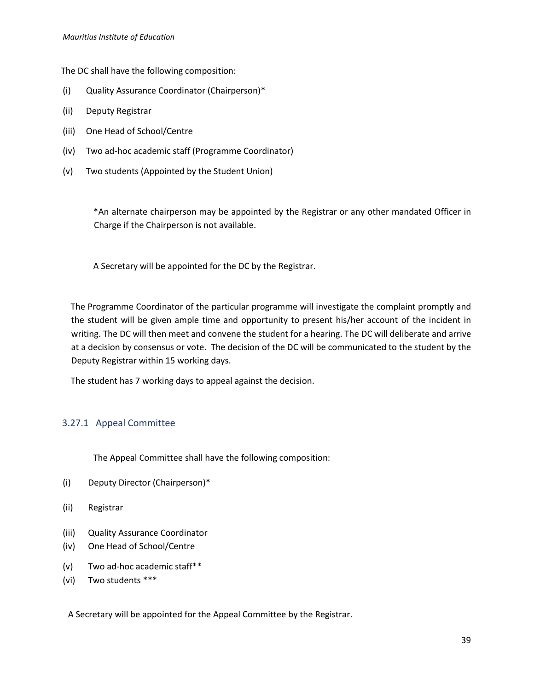The DC shall have the following composition:

- (i) Quality Assurance Coordinator (Chairperson)\*
- (ii) Deputy Registrar
- (iii) One Head of School/Centre
- (iv) Two ad-hoc academic staff (Programme Coordinator)
- (v) Two students (Appointed by the Student Union)

\*An alternate chairperson may be appointed by the Registrar or any other mandated Officer in Charge if the Chairperson is not available.

A Secretary will be appointed for the DC by the Registrar.

The Programme Coordinator of the particular programme will investigate the complaint promptly and the student will be given ample time and opportunity to present his/her account of the incident in writing. The DC will then meet and convene the student for a hearing. The DC will deliberate and arrive at a decision by consensus or vote. The decision of the DC will be communicated to the student by the Deputy Registrar within 15 working days.

The student has 7 working days to appeal against the decision.

#### <span id="page-38-0"></span>3.27.1 Appeal Committee

The Appeal Committee shall have the following composition:

- (i) Deputy Director (Chairperson)\*
- (ii) Registrar
- (iii) Quality Assurance Coordinator
- (iv) One Head of School/Centre
- (v) Two ad-hoc academic staff\*\*
- (vi) Two students \*\*\*

A Secretary will be appointed for the Appeal Committee by the Registrar.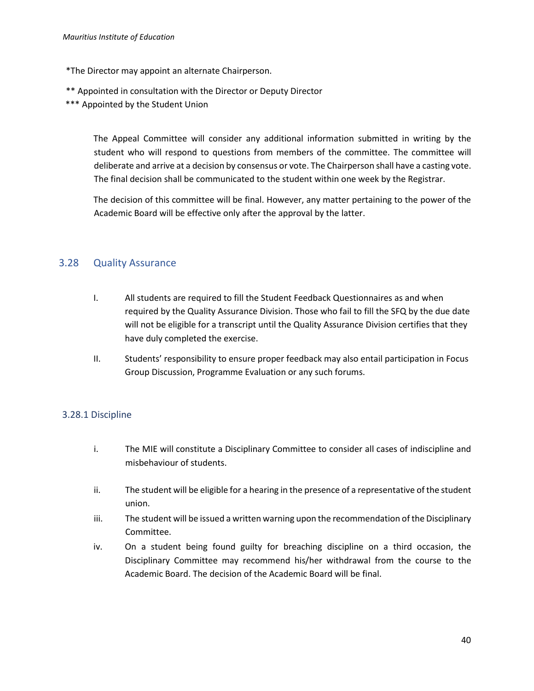- \*The Director may appoint an alternate Chairperson.
- \*\* Appointed in consultation with the Director or Deputy Director
- \*\*\* Appointed by the Student Union

The Appeal Committee will consider any additional information submitted in writing by the student who will respond to questions from members of the committee. The committee will deliberate and arrive at a decision by consensus or vote. The Chairperson shall have a casting vote. The final decision shall be communicated to the student within one week by the Registrar.

The decision of this committee will be final. However, any matter pertaining to the power of the Academic Board will be effective only after the approval by the latter.

#### <span id="page-39-0"></span>3.28 Quality Assurance

- I. All students are required to fill the Student Feedback Questionnaires as and when required by the Quality Assurance Division. Those who fail to fill the SFQ by the due date will not be eligible for a transcript until the Quality Assurance Division certifies that they have duly completed the exercise.
- II. Students' responsibility to ensure proper feedback may also entail participation in Focus Group Discussion, Programme Evaluation or any such forums.

#### <span id="page-39-1"></span>3.28.1 Discipline

- i. The MIE will constitute a Disciplinary Committee to consider all cases of indiscipline and misbehaviour of students.
- ii. The student will be eligible for a hearing in the presence of a representative of the student union.
- iii. The student will be issued a written warning upon the recommendation of the Disciplinary Committee.
- iv. On a student being found guilty for breaching discipline on a third occasion, the Disciplinary Committee may recommend his/her withdrawal from the course to the Academic Board. The decision of the Academic Board will be final.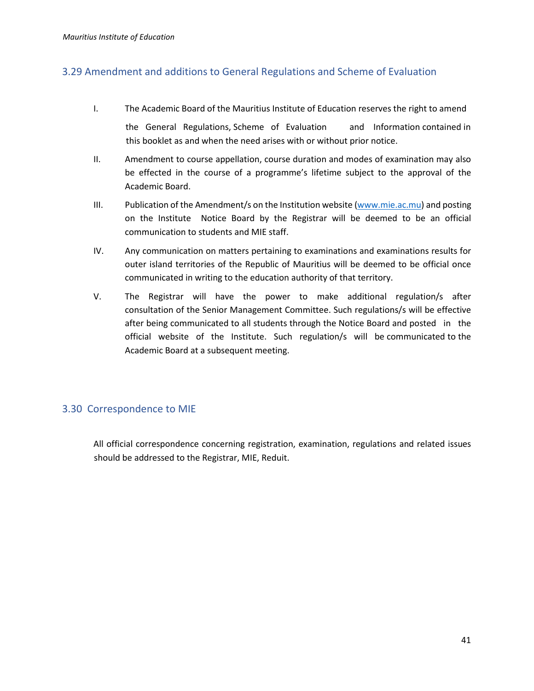#### <span id="page-40-0"></span>3.29 Amendment and additions to General Regulations and Scheme of Evaluation

I. The Academic Board of the Mauritius Institute of Education reserves the right to amend

the General Regulations, Scheme of Evaluation and Information contained in this booklet as and when the need arises with or without prior notice.

- II. Amendment to course appellation, course duration and modes of examination may also be effected in the course of a programme's lifetime subject to the approval of the Academic Board.
- III. Publication of the Amendment/s on the Institution website  $(www.mie.ac.mu)$  and posting on the Institute Notice Board by the Registrar will be deemed to be an official communication to students and MIE staff.
- IV. Any communication on matters pertaining to examinations and examinations results for outer island territories of the Republic of Mauritius will be deemed to be official once communicated in writing to the education authority of that territory.
- V. The Registrar will have the power to make additional regulation/s after consultation of the Senior Management Committee. Such regulations/s will be effective after being communicated to all students through the Notice Board and posted in the official website of the Institute. Such regulation/s will be communicated to the Academic Board at a subsequent meeting.

#### <span id="page-40-1"></span>3.30 Correspondence to MIE

All official correspondence concerning registration, examination, regulations and related issues should be addressed to the Registrar, MIE, Reduit.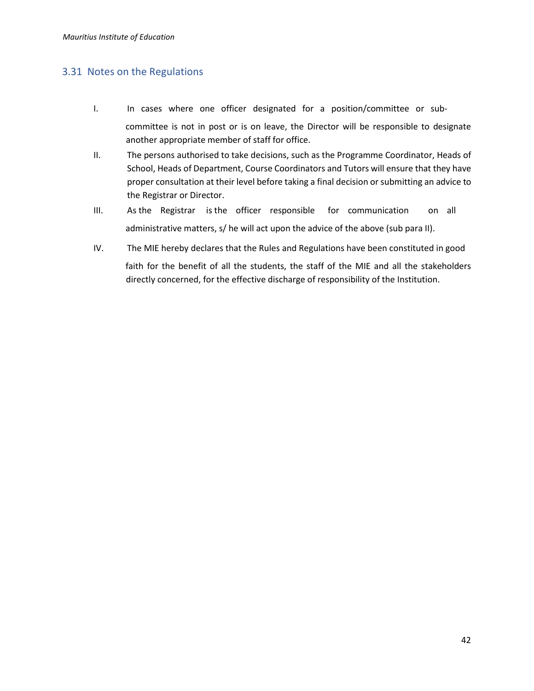#### <span id="page-41-0"></span>3.31 Notes on the Regulations

- I. In cases where one officer designated for a position/committee or subcommittee is not in post or is on leave, the Director will be responsible to designate another appropriate member of staff for office.
- II. The persons authorised to take decisions, such as the Programme Coordinator, Heads of School, Heads of Department, Course Coordinators and Tutors will ensure that they have proper consultation at their level before taking a final decision or submitting an advice to the Registrar or Director.
- III. As the Registrar is the officer responsible for communication on all administrative matters, s/ he will act upon the advice of the above (sub para II).
- IV. The MIE hereby declares that the Rules and Regulations have been constituted in good faith for the benefit of all the students, the staff of the MIE and all the stakeholders directly concerned, for the effective discharge of responsibility of the Institution.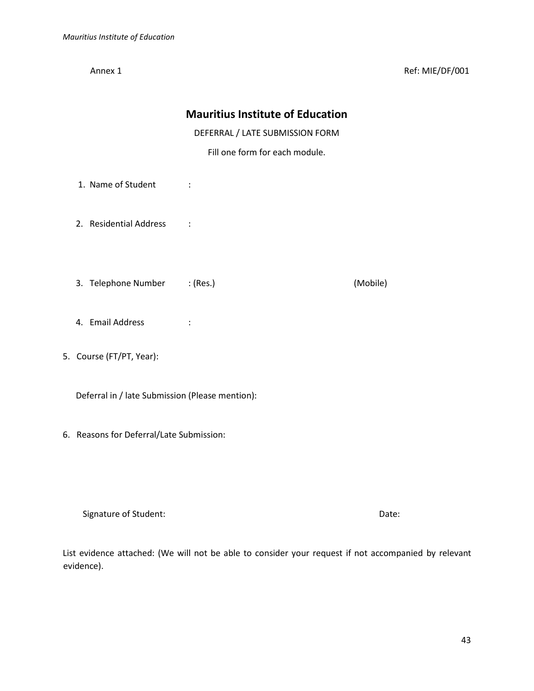Annex 1 Ref: MIE/DF/001

|                                                 | DEFERRAL / LATE SUBMISSION FORM<br>Fill one form for each module. |          |
|-------------------------------------------------|-------------------------------------------------------------------|----------|
| 1. Name of Student                              | $\ddot{\cdot}$                                                    |          |
| 2. Residential Address                          | $\sim$ $\sim$ $\sim$                                              |          |
| 3. Telephone Number : (Res.)                    |                                                                   | (Mobile) |
| 4. Email Address                                |                                                                   |          |
| 5. Course (FT/PT, Year):                        |                                                                   |          |
| Deferral in / late Submission (Please mention): |                                                                   |          |
| 6. Reasons for Deferral/Late Submission:        |                                                                   |          |
|                                                 |                                                                   |          |

**Mauritius Institute of Education** 

Signature of Student: Date: Date: Date: Date: Date: Date: Date: Date: Date: Date: Date: Date: Date: Date: Date: Date: Date: Date: Date: Date: Date: Date: Date: Date: Date: Date: Date: Date: Date: Date: Date: Date: Date: Da

List evidence attached: (We will not be able to consider your request if not accompanied by relevant evidence).